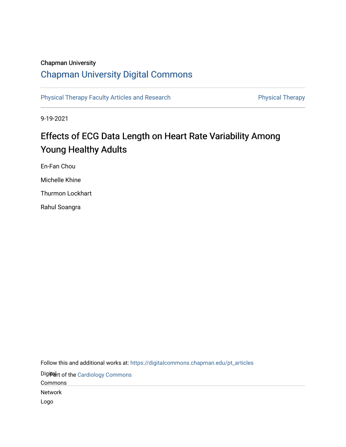# Chapman University

# [Chapman University Digital Commons](https://digitalcommons.chapman.edu/)

[Physical Therapy Faculty Articles and Research](https://digitalcommons.chapman.edu/pt_articles) **Physical Therapy** Physical Therapy

9-19-2021

# Effects of ECG Data Length on Heart Rate Variability Among Young Healthy Adults

En-Fan Chou Michelle Khine Thurmon Lockhart Rahul Soangra

Follow this and additional works at: [https://digitalcommons.chapman.edu/pt\\_articles](https://digitalcommons.chapman.edu/pt_articles?utm_source=digitalcommons.chapman.edu%2Fpt_articles%2F162&utm_medium=PDF&utm_campaign=PDFCoverPages) 

Digiter of the [Cardiology Commons](http://network.bepress.com/hgg/discipline/683?utm_source=digitalcommons.chapman.edu%2Fpt_articles%2F162&utm_medium=PDF&utm_campaign=PDFCoverPages)

Commons

Network

Logo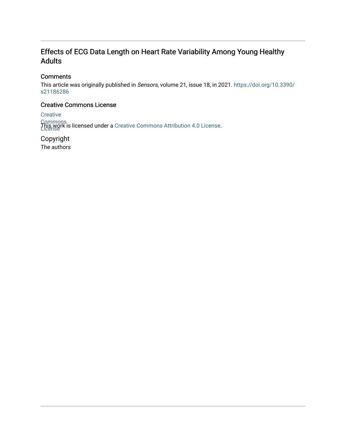# Effects of ECG Data Length on Heart Rate Variability Among Young Healthy Adults

# **Comments**

This article was originally published in Sensors, volume 21, issue 18, in 2021. [https://doi.org/10.3390/](https://doi.org/10.3390/s21186286) [s21186286](https://doi.org/10.3390/s21186286)

# Creative Commons License

**Creative** 

Commons<br>T**his work is licensed under a** Creative [Commons](https://creativecommons.org/licenses/by/4.0/) Attribution 4.0 License.<br>License

Copyright The authors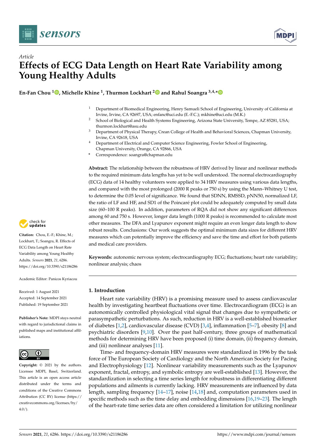

*Article*



# **Effects of ECG Data Length on Heart Rate Variability among Young Healthy Adults**

**En-Fan Chou <sup>1</sup> [,](https://orcid.org/0000-0003-1615-6715) Michelle Khine <sup>1</sup> , Thurmon Lockhart [2](https://orcid.org/0000-0002-7008-5711) and Rahul Soangra 3,4,[\\*](https://orcid.org/0000-0001-9836-1549)**

- <sup>1</sup> Department of Biomedical Engineering, Henry Samueli School of Engineering, University of California at Irvine, Irvine, CA 92697, USA; enfanc@uci.edu (E.-F.C.); mkhine@uci.edu (M.K.)
- <sup>2</sup> School of Biological and Health Systems Engineering, Arizona State University, Tempe, AZ 85281, USA; thurmon.lockhart@asu.edu
- <sup>3</sup> Department of Physical Therapy, Crean College of Health and Behavioral Sciences, Chapman University, Irvine, CA 92618, USA
- <sup>4</sup> Department of Electrical and Computer Science Engineering, Fowler School of Engineering, Chapman University, Orange, CA 92866, USA
- **\*** Correspondence: soangra@chapman.edu

**Abstract:** The relationship between the robustness of HRV derived by linear and nonlinear methods to the required minimum data lengths has yet to be well understood. The normal electrocardiography (ECG) data of 14 healthy volunteers were applied to 34 HRV measures using various data lengths, and compared with the most prolonged (2000 R peaks or 750 s) by using the Mann–Whitney U test, to determine the 0.05 level of significance. We found that SDNN, RMSSD, pNN50, normalized LF, the ratio of LF and HF, and SD1 of the Poincaré plot could be adequately computed by small data size (60–100 R peaks). In addition, parameters of RQA did not show any significant differences among 60 and 750 s. However, longer data length (1000 R peaks) is recommended to calculate most other measures. The DFA and Lyapunov exponent might require an even longer data length to show robust results. Conclusions: Our work suggests the optimal minimum data sizes for different HRV measures which can potentially improve the efficiency and save the time and effort for both patients and medical care providers.

**Keywords:** autonomic nervous system; electrocardiography ECG; fluctuations; heart rate variability; nonlinear analysis; chaos

### **1. Introduction**

Heart rate variability (HRV) is a promising measure used to assess cardiovascular health by investigating heartbeat fluctuations over time. Electrocardiogram (ECG) is an autonomically controlled physiological vital signal that changes due to sympathetic or parasympathetic perturbations. As such, reduction in HRV is a well-established biomarker of diabetes [\[1](#page-18-0)[,2\]](#page-18-1), cardiovascular disease (CVD) [\[3,](#page-18-2)[4\]](#page-19-0), inflammation [\[5–](#page-19-1)[7\]](#page-19-2), obesity [\[8\]](#page-19-3) and psychiatric disorders [\[9](#page-19-4)[,10\]](#page-19-5). Over the past half-century, three groups of mathematical methods for determining HRV have been proposed (i) time domain, (ii) frequency domain, and (iii) nonlinear analyses [\[11\]](#page-19-6).

Time- and frequency-domain HRV measures were standardized in 1996 by the task force of The European Society of Cardiology and the North American Society for Pacing and Electrophysiology [\[12\]](#page-19-7). Nonlinear variability measurements such as the Lyapunov exponent, fractal, entropy, and symbolic entropy are well-established [\[13\]](#page-19-8). However, the standardization in selecting a time series length for robustness in differentiating different populations and ailments is currently lacking. HRV measurements are influenced by data length, sampling frequency [\[14](#page-19-9)[–17\]](#page-19-10), noise [\[14](#page-19-9)[,18\]](#page-19-11) and, computation parameters used in specific methods such as the time delay and embedding dimensions [\[16](#page-19-12)[,19](#page-19-13)[–23\]](#page-19-14). The length of the heart-rate time series data are often considered a limitation for utilizing nonlinear



**Citation:** Chou, E.-F.; Khine, M.; Lockhart, T.; Soangra, R. Effects of ECG Data Length on Heart Rate Variability among Young Healthy Adults. *Sensors* **2021**, *21*, 6286. <https://doi.org/10.3390/s21186286>

Academic Editor: Panicos Kyriacou

Received: 1 August 2021 Accepted: 14 September 2021 Published: 19 September 2021

**Publisher's Note:** MDPI stays neutral with regard to jurisdictional claims in published maps and institutional affiliations.



**Copyright:** © 2021 by the authors. Licensee MDPI, Basel, Switzerland. This article is an open access article distributed under the terms and conditions of the Creative Commons Attribution (CC BY) license (https:/[/](https://creativecommons.org/licenses/by/4.0/) [creativecommons.org/licenses/by/](https://creativecommons.org/licenses/by/4.0/) 4.0/).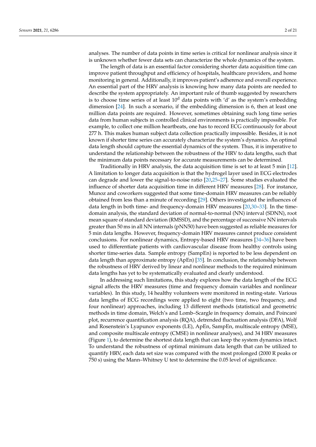analyses. The number of data points in time series is critical for nonlinear analysis since it is unknown whether fewer data sets can characterize the whole dynamics of the system.

The length of data is an essential factor considering shorter data acquisition time can improve patient throughput and efficiency of hospitals, healthcare providers, and home monitoring in general. Additionally, it improves patient's adherence and overall experience. An essential part of the HRV analysis is knowing how many data points are needed to describe the system appropriately. An important rule of thumb suggested by researchers is to choose time series of at least  $10<sup>d</sup>$  data points with 'd' as the system's embedding dimension [\[24\]](#page-19-15). In such a scenario, if the embedding dimension is 6, then at least one million data points are required. However, sometimes obtaining such long time series data from human subjects in controlled clinical environments is practically impossible. For example, to collect one million heartbeats, one has to record ECG continuously for about 277 h. This makes human subject data collection practically impossible. Besides, it is not known if shorter time series can accurately characterize the system's dynamics. An optimal data length should capture the essential dynamics of the system. Thus, it is imperative to understand the relationship between the robustness of the HRV to data lengths, such that the minimum data points necessary for accurate measurements can be determined.

Traditionally in HRV analysis, the data acquisition time is set to at least 5 min [\[12\]](#page-19-7). A limitation to longer data acquisition is that the hydrogel layer used in ECG electrodes can degrade and lower the signal-to-noise ratio [\[20,](#page-19-16)[25](#page-19-17)[–27\]](#page-19-18). Some studies evaluated the influence of shorter data acquisition time in different HRV measures [\[28\]](#page-19-19). For instance, Munoz and coworkers suggested that some time-domain HRV measures can be reliably obtained from less than a minute of recording [\[29\]](#page-19-20). Others investigated the influences of data length in both time- and frequency-domain HRV measures [\[20,](#page-19-16)[30–](#page-19-21)[33\]](#page-20-0). In the timedomain analysis, the standard deviation of normal-to-normal (NN) interval (SDNN), root mean square of standard deviation (RMSSD), and the percentage of successive NN intervals greater than 50 ms in all NN internals (pNN50) have been suggested as reliable measures for 5 min data lengths. However, frequency-domain HRV measures cannot produce consistent conclusions. For nonlinear dynamics, Entropy-based HRV measures [\[34](#page-20-1)[–36\]](#page-20-2) have been used to differentiate patients with cardiovascular disease from healthy controls using shorter time-series data. Sample entropy (SampEn) is reported to be less dependent on data length than approximate entropy (ApEn) [\[35\]](#page-20-3). In conclusion, the relationship between the robustness of HRV derived by linear and nonlinear methods to the required minimum data lengths has yet to be systematically evaluated and clearly understood.

In addressing such limitations, this study explores how the data length of the ECG signal affects the HRV measures (time and frequency domain variables and nonlinear variables). In this study, 14 healthy volunteers were monitored in resting-state. Various data lengths of ECG recordings were applied to eight (two time, two frequency, and four nonlinear) approaches, including 13 different methods (statistical and geometric methods in time domain, Welch's and Lomb–Scargle in frequency domain, and Poincaré plot, recurrence quantification analysis (RQA), detrended fluctuation analysis (DFA), Wolf and Rosenstein's Lyapunov exponents (LE), ApEn, SampEn, multiscale entropy (MSE), and composite multiscale entropy (CMSE) in nonlinear analyses), and 34 HRV measures (Figure [1\)](#page-4-0), to determine the shortest data length that can keep the system dynamics intact. To understand the robustness of optimal minimum data length that can be utilized to quantify HRV, each data set size was compared with the most prolonged (2000 R peaks or 750 s) using the Mann–Whitney U test to determine the 0.05 level of significance.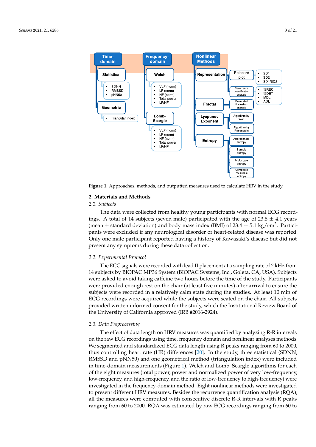<span id="page-4-0"></span>

**Figure 1.** Approaches, methods, and outputted measures used to calculate HRV in the study. **Figure 1.** Approaches, methods, and outputted measures used to calculate HRV in the study.

# **2. Materials and Methods 2. Materials and Methods**

#### *2.1. Subjects 2.1. Subjects*

ings. A total of 14 subjects (seven male) participated with the age of  $23.8 \pm 4.1$  years (mean  $\pm$  standard deviation) and body mass index (BMI) of 23.4  $\pm$  5.1 kg/cm<sup>2</sup>. Participants were excluded if any neurological disorder or heart-related disease was reported. n<br>Only one male participant reported having a history of Kawasaki's disease but did not present any symptoms during these data collection.  $\frac{1}{2}$  symptoms during the collection. The data were collected from healthy young participants with normal ECG record-

#### *2.2. Experimental Protocol*

The ECG signals were recorded with lead II placement at a sampling rate of 2 kHz from 14 subjects by BIOPAC MP36 System (BIOPAC Systems, Inc., Goleta, CA, USA). Subjects were asked to avoid taking caffeine two hours before the time of the study. Participants were provided enough rest on the chair (at least five minutes) after arrival to ensure the subjects were recorded in a relatively calm state during the studies. At least 10 min of ECG recordings were acquired while the subjects were seated on the chair. All subjects provided written informed consent for the study, which the Institutional Review Board of the University of California approved (IRB #2016-2924).

#### Board of the University of California approved (IRB #2016-2924). *2.3. Data Preprocessing*

*2.3. Data Preprocessing*  The effect of data length on HRV measures was quantified by analyzing R-R intervals on the raw ECG recordings using time, frequency domain and nonlinear analyses methods. We segmented and standardized ECG data length using R peaks ranging from 60 to 2000, thus controlling heart rate (HR) differences [\[20\]](#page-19-16). In the study, three statistical (SDNN,  $R$ ) to  $R$  is the statistical (SDNN, 2000, thus controlling heart rate (HR) differences [20]. In the study, three statistical RMSSD and pNN50) and one geometrical method (triangulation index) were included in time-domain measurements (Figure [1\)](#page-4-0). Welch and Lomb–Scargle algorithms for each of the eight measures (total power, power and normalized power of very low-frequency, fow inequency, and night inequency, and the ratio of low-frequency to high nequency) were investigated in the frequency-domain method. Eight nonlinear methods were investigated Investigated in the reequency domain method. Eight nonlinear includes were investigated to present different HRV measures. Besides the recurrence quantification analysis (RQA), we present americin river measures. Besides are recarrence quantification analysis ( $R_{\rm X}$ *r*), were investigated to present different to present the recurrence  $\Omega$  measures. Besides the recurrence  $\Omega$  has the recurrence of  $\Omega$  has the recurrence of  $\Omega$  has the recurrence of  $\Omega$  has the recurrence of  $\Omega$  has t ranging from 60 to 2000. RQA was estimated by raw ECG recordings ranging from 60 to low-frequency, and high-frequency, and the ratio of low-frequency to high-frequency) were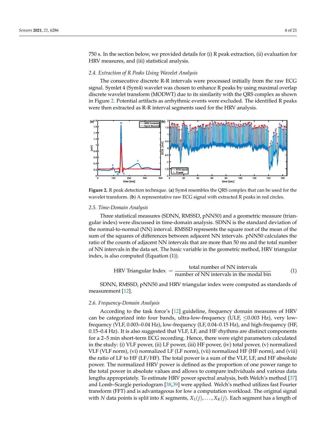750 s. In the section below, we provided details for (i) R peak extraction, (ii) evaluation for HRV measures, and (iii) statistical analysis.

# *2.4. Extraction of R Peaks Using Wavelet Analysis 2.4. Extraction of R Peaks Using Wavelet Analysis*

The consecutive discrete R-R intervals were processed initially from the raw ECG The consecutive discrete R-R intervals were processed initially from the raw ECG signal. Symlet 4 (Sym4) wavelet was chosen to enhance R peaks by using maximal overlap signal. Symlet 4 (Sym4) wavelet was chosen to enhance R peaks by using maximal overlap discrete wavelet transform (MODWT) due to its similarity with the QRS complex as shown discrete wavelet transform (MODWT) due to its similarity with the QRS complex as i[n F](#page-5-0)igure 2. Potential artifacts as arrhythmic events were excluded. The identified R peaks were then extracted as R-R interval segments used for the HRV analysis. R peaks were then extracted as R-R interval segments used for the HRV analysis.

<span id="page-5-0"></span>

**Figure 2.** R peak detection technique. (**a**) Sym4 resembles the QRS complex that can be used for the **Figure 2.** R peak detection technique. (**a**) Sym4 resembles the QRS complex that can be used for the wavelet transform. (**b**) A representative raw ECG signal with extracted R peaks in red circles. wavelet transform. (**b**) A representative raw ECG signal with extracted R peaks in red circles.

### *2.5. Time-Domain Analysis 2.5. Time-Domain Analysis*

Three statistical measures (SDNN, RMSSD, pNN50) and a geometric measure (trian-Three statistical measures (SDNN, RMSSD, pNN50) and a geometric measure (triangular index) were discussed in time-domain analysis. SDNN is the standard deviation of gular index) were discussed in time-domain analysis. SDNN is the standard deviation of the normal-to-normal (NN) interval. RMSSD represents the square root of the mean of the the normal-to-normal (NN) interval. RMSSD represents the square root of the mean of the sum of the squares of differences between adjacent NN intervals. pNN50 calculates the sum of the squares of differences between adjacent NN intervals. pNN50 calculates the ratio of the counts of adjacent NN intervals that are more than 50 ms and the total number ratio of the counts of adjacent NN intervals that are more than 50 ms and the total number of NN intervals in the data set. The basic variable in the geometric method, HRV triangular index, is also computed (Equation (1)).

$$
HRV Triangular Index = \frac{\text{total number of NN intervals}}{\text{number of NN intervals in the modal bin}} \tag{1}
$$

SDNN, RMSSD, pNN50 and HRV triangular index were computed as standards of SDNN, RMSSD, pNN50 and HRV triangular index were computed as standards of measurement [12]. measurement [\[12\]](#page-19-7).

# *2.6. Frequency-Domain Analysis 2.6. Frequency-Domain Analysis*

According to the task force's [[12\] g](#page-19-7)uideline, frequency domain measures of HRV can be categorized into four bands, ultra-low-frequency (ULF, ≤0.003 Hz), very lowfrequency (VLF, 0.003–0.04 Hz), low-frequency (LF, 0.04–0.15 Hz), and high-frequency (HF, 0.15–0.4 Hz). It is also suggested that VLF, LF, and HF rhythms are distinct components 0.15–0.4 Hz). It is also suggested that VLF, LF, and HF rhythms are distinct components for a 2–5 min short-term ECG recording. Hence, there were eight parameters calculated for a 2–5 min short-term ECG recording. Hence, there were eight parameters calculated in the study: (i) VLF power, (ii) LF power, (iii) HF power, (iv) total power, (v) normalized in the study: (i) VLF power, (ii) LF power, (iii) HF power, (iv) total power, (v) normalized VLF (VLF norm), (vi) normalized LF (LF norm), (vii) normalized HF (HF norm), and (viii) VLF (VLF norm), (vi) normalized LF (LF norm), (vii) normalized HF (HF norm), and (viii) the ratio of LF to HF (LF/HF). The total power is a sum of the VLF, LF, and HF absolute the ratio of LF to HF (LF/HF). The total power is a sum of the VLF, LF, and HF absolute power. The normalized HRV power is defined as the proportion of one power range to power. The normalized HRV power is defined as the proportion of one power range to the total power in absolute values and allows to compare individuals and various data the total power in absolute values and allows to compare individuals and various data lengths appropriately. To estimate HRV power spectral analysis, both Welch's method lengths appropriately. To estimate HRV power spectral analysis, both Welch's method [\[37\]](#page-20-4) and Lomb–Scargle periodogram [\[38](#page-20-5)[,39\]](#page-20-6) were applied. Welch's method utilizes fast Fourier transform (FFT) and is advantageous for low a computation workload. The original signal with N data points is split into K segments,  $X_1(j), \ldots, X_K(j)$ . Each segment has a length of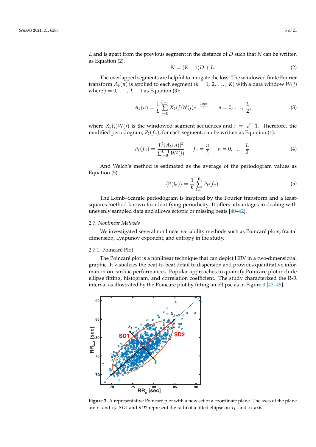*L* and is apart from the previous segment in the distance of *D* such that *N* can be written as Equation (2).

$$
N = (K-1)D + L.\t(2)
$$

The overlapped segments are helpful to mitigate the loss. The windowed finite Fourier transform  $A_k(n)$  is applied to each segment  $(k = 1, 2, ..., K)$  with a data window  $W(j)$ <br>where  $i = 0, \ldots, L-1$  as Equation (3) where  $j = 0, \ldots, L-1$  as Equation (3):

$$
A_k(n) = \frac{1}{L} \sum_{j=0}^{L-1} X_k(j) W(j) e^{-\frac{2kijn}{L}} \qquad n = 0, \ldots, \frac{L}{2}, \tag{3}
$$

where  $X_k(j)W(j)$  is the windowed segment sequences and  $i =$ √ (*j*) is the windowed segment sequences and  $i = \sqrt{-1}$ . Therefore, the modified periodogram, *Pk*(*fn*), for each segment, can be written as Equation (4). ୀ

$$
P_k(f_n) = \frac{L^2 |A_k(n)|^2}{\sum_{j=0}^{L-1} W^2(j)} \qquad f_n = \frac{n}{L} \qquad n = 0, \ldots, \frac{L}{2}.
$$
 (4)

And Welch's method is estimated as the average of the periodogram values as Equation (5).  $A_{\rm tot}^{(5)}$  method is estimated as the periodogram values as  $B_{\rm tot}^{(5)}$ 

 $\mathcal{L} = \mathcal{L} \mathcal{L}$ 

$$
\langle P(f_n) \rangle = \frac{1}{K} \sum_{k=1}^{K} P_k(f_n). \tag{5}
$$

The Lomb–Scargle periodogram is inspired by the Fourier transform and a leastsquares method known for identifying periodicity. It offers advantages in dealing with unevenly sampled data and allows ectopic or missing beats [40–42].  $\frac{1}{2}$ 

#### *2.7. Nonlinear Methods*

We investigated several nonlinear variability methods such as Poincaré plots, fractal dimension, Lyapunov exponent, and entropy in the study. dimension, Lyapunov exponent, and entropy in the study.

#### 2.7.1. Poincaré Plot

The Poincaré plot is a nonlinear technique that can depict HRV in a two-dimensional graphic. It visualizes the beat-to-beat detail to dispersion and provides quantitative inforgraphic. It visualizes the beat-to-beat-to-beat-to-dispersion and provides quantitative infor-<br>mation on cardiac performances. Popular approaches to quantify Poincaré plot include ellipse fitting, histogram, and correlation coefficient. The study characterized the R-R in-interval as illustrated by the Poincaré plot by fitting an ellipse as in Figure 3 [\[43–](#page-20-9)[45\]](#page-20-10).  $\,$ mation on cardiac performances. Popular approaches to quantify Poincaré provis

<span id="page-6-0"></span>

**Figure 3.** A representative Poincaré plot with a new set of a coordinate plane. The axes of the plane<br>are x, and x, SD1 and SD2 represent the radii of a fitted ellipse on x, and x, axis are *x*<sup>1</sup> and *x*2. *SD*1 and *SD*2 represent the radii of a fitted ellipse on *x*<sup>1</sup> - and *x*2-axis.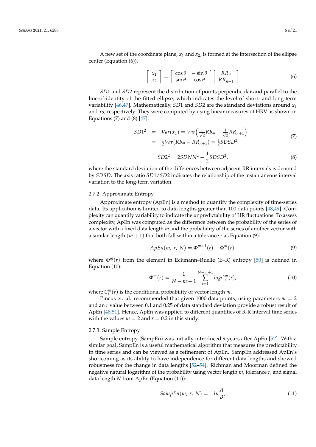A new set of the coordinate plane,  $x_1$  and  $x_2$ , is formed at the intersection of the ellipse center (Equation (6)).

$$
\begin{bmatrix} x_1 \\ x_2 \end{bmatrix} = \begin{bmatrix} \cos \theta & -\sin \theta \\ \sin \theta & \cos \theta \end{bmatrix} \begin{bmatrix} RR_n \\ RR_{n+1} \end{bmatrix}
$$
 (6)

*SD*1 and *SD*2 represent the distribution of points perpendicular and parallel to the line-of-identity of the fitted ellipse, which indicates the level of short- and long-term variability [\[46](#page-20-11)[,47\]](#page-20-12). Mathematically, *SD*1 and *SD*2 are the standard deviations around *x*<sup>1</sup> and *x*2, respectively. They were computed by using linear measures of HRV as shown in Equations  $(7)$  and  $(8)$   $[47]$ :

$$
SD12 = Var(x1) = Var\left(\frac{1}{\sqrt{2}}RR_{n} - \frac{1}{\sqrt{2}}RR_{n+1}\right)
$$
  
=  $\frac{1}{2}Var(RR_{n} - RR_{n+1}) = \frac{1}{2}SDSD^{2}$  (7)

$$
SD22 = 2SDNN2 - \frac{1}{2} SDSD2,
$$
 (8)

where the standard deviation of the differences between adjacent RR intervals is denoted by *SDSD*. The axis ratio *SD*1/*SD*2 indicates the relationship of the instantaneous interval variation to the long-term variation.

### 2.7.2. Approximate Entropy

Approximate entropy (ApEn) is a method to quantify the complexity of time-series data. Its application is limited to data lengths greater than 100 data points [\[48,](#page-20-13)[49\]](#page-20-14). Complexity can quantify variability to indicate the unpredictability of HR fluctuations. To assess complexity, ApEn was computed as the difference between the probability of the series of a vector with a fixed data length *m* and the probability of the series of another vector with a similar length  $(m + 1)$  that both fall within a tolerance *r* as Equation (9):

$$
ApEn(m, r, N) = \Phi^{m+1}(r) - \Phi^m(r), \qquad (9)
$$

where  $\Phi^{m}(r)$  from the element in Eckmann–Ruelle (E–R) entropy [\[50\]](#page-20-15) is defined in Equation (10):

$$
\Phi^{m}(r) = \frac{1}{N-m+1} \sum_{i=1}^{N-m+1} log C_{i}^{m}(r), \qquad (10)
$$

where  $C_i^m(r)$  is the conditional probability of vector length *m*.

Pincus et. al. recommended that given 1000 data points, using parameters  $m = 2$ and an *r* value between 0.1 and 0.25 of data standard deviation provide a robust result of ApEn [\[48](#page-20-13)[,51\]](#page-20-16). Hence, ApEn was applied to different quantities of R-R interval time series with the values  $m = 2$  and  $r = 0.2$  in this study.

#### 2.7.3. Sample Entropy

Sample entropy (SampEn) was initially introduced 9 years after ApEn [\[52\]](#page-20-17). With a similar goal, SampEn is a useful mathematical algorithm that measures the predictability in time series and can be viewed as a refinement of ApEn. SampEn addressed ApEn's shortcoming as its ability to have independence for different data lengths and showed robustness for the change in data lengths [\[52–](#page-20-17)[54\]](#page-20-18). Richman and Moorman defined the negative natural logarithm of the probability using vector length *m*, tolerance *r*, and signal data length *N* from ApEn (Equation (11)):

$$
SampEn(m, r, N) = -ln\frac{A}{B},
$$
\n(11)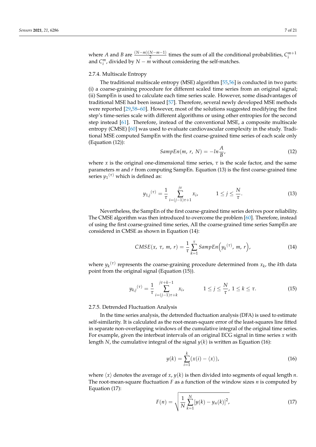where *A* and *B* are  $\frac{(N-m)(N-m-1)}{2}$  $\frac{N-m-1}{2}$  times the sum of all the conditional probabilities,  $C_i^{m+1}$ and  $C_i^m$ , divided by  $N - m$  without considering the self-matches.

#### 2.7.4. Multiscale Entropy

The traditional multiscale entropy (MSE) algorithm [\[55,](#page-20-19)[56\]](#page-20-20) is conducted in two parts: (i) a coarse-graining procedure for different scaled time series from an original signal; (ii) SampEn is used to calculate each time series scale. However, some disadvantages of traditional MSE had been issued [\[57\]](#page-20-21). Therefore, several newly developed MSE methods were reported [\[29](#page-19-20)[,58–](#page-20-22)[60\]](#page-20-23). However, most of the solutions suggested modifying the first step's time-series scale with different algorithms or using other entropies for the second step instead [\[61\]](#page-20-24). Therefore, instead of the conventional MSE, a composite multiscale entropy (CMSE) [\[60\]](#page-20-23) was used to evaluate cardiovascular complexity in the study. Traditional MSE computed SampEn with the first coarse-grained time series of each scale only (Equation (12)):

$$
SampEn(m, r, N) = -ln\frac{A}{B},
$$
\n(12)

where *x* is the original one-dimensional time series,  $\tau$  is the scale factor, and the same parameters *m* and *r* from computing SampEn. Equation (13) is the first coarse-grained time series  $y_1^{(\tau)}$  which is defined as:

$$
y_{1,j}^{(\tau)} = \frac{1}{\tau} \sum_{i=(j-1)\tau+1}^{j\tau} x_i, \qquad 1 \le j \le \frac{N}{\tau}.
$$
 (13)

Nevertheless, the SampEn of the first coarse-grained time series derives poor reliability. The CMSE algorithm was then introduced to overcome the problem [\[60\]](#page-20-23). Therefore, instead of using the first coarse-grained time series, All the coarse-grained time series SampEn are considered in CMSE as shown in Equation (14):

$$
CMSE(x, \tau, m, r) = \frac{1}{\tau} \sum_{k=1}^{\tau} Samplen(y_k^{(\tau)}, m, r), \qquad (14)
$$

where  $y_k^{(\tau)}$  represents the coarse-graining procedure determined from  $x_k$ , the *k*th data point from the original signal (Equation (15)).

$$
y_{k,j}^{(\tau)} = \frac{1}{\tau} \sum_{i=(j-1)\tau+k}^{j\tau+k-1} x_i, \qquad 1 \le j \le \frac{N}{\tau}, \ 1 \le k \le \tau. \tag{15}
$$

2.7.5. Detrended Fluctuation Analysis

In the time series analysis, the detrended fluctuation analysis (DFA) is used to estimate self-similarity. It is calculated as the root-mean-square error of the least-squares line fitted in separate non-overlapping windows of the cumulative integral of the original time series. For example, given the interbeat intervals of an original ECG signal in time series *x* with length *N*, the cumulative integral of the signal  $y(k)$  is written as Equation (16):

$$
y(k) = \sum_{i=1}^{k} (x(i) - \langle x \rangle),
$$
 (16)

where  $\langle x \rangle$  denotes the average of *x*,  $y(k)$  is then divided into segments of equal length *n*. The root-mean-square fluctuation *F* as a function of the window sizes *n* is computed by Equation (17):

$$
F(n) = \sqrt{\frac{1}{N} \sum_{k=1}^{N} [y(k) - y_n(k)]^2},
$$
\n(17)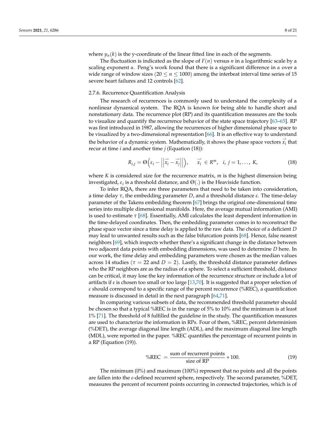where  $y_n(k)$  is the y-coordinate of the linear fitted line in each of the segments.

The fluctuation is indicated as the slope of  $F(n)$  versus *n* in a logarithmic scale by a scaling exponent *α*. Peng's work found that there is a significant difference in *α* over a wide range of window sizes ( $20 \le n \le 1000$ ) among the interbeat interval time series of 15 severe heart failures and 12 controls [\[62\]](#page-21-0).

#### 2.7.6. Recurrence Quantification Analysis

The research of recurrences is commonly used to understand the complexity of a nonlinear dynamical system. The RQA is known for being able to handle short and nonstationary data. The recurrence plot (RP) and its quantification measures are the tools to visualize and quantify the recurrence behavior of the state space trajectory [\[63–](#page-21-1)[65\]](#page-21-2). RP was first introduced in 1987, allowing the recurrences of higher dimensional phase space to be visualized by a two-dimensional representation [\[66\]](#page-21-3). It is an effective way to understand the behavior of a dynamic system. Mathematically, it shows the phase space vectors  $\overrightarrow{x_i}$  that recur at time *i* and another time *j* (Equation (18)):

$$
R_{i,j} = \Theta\left(\varepsilon_i - \left|\left|\overrightarrow{x_i} - \overrightarrow{x_j}\right|\right|\right), \quad \overrightarrow{x_i} \in R^m, \quad i, j = 1, \ldots, K,
$$
 (18)

where *K* is considered size for the recurrence matrix, *m* is the highest dimension being investigated,  $\varepsilon_i$  is a threshold distance, and  $\Theta(.)$  is the Heaviside function.

To infer RQA, there are three parameters that need to be taken into consideration, a time delay *τ*, the embedding parameter *D*, and a threshold distance *ε*. The time-delay parameter of the Takens embedding theorem [\[67\]](#page-21-4) brings the original one-dimensional time series into multiple dimensional manifolds. Here, the average mutual information (AMI) is used to estimate  $\tau$  [\[68\]](#page-21-5). Essentially, AMI calculates the least dependent information in the time-delayed coordinates. Then, the embedding parameter comes in to reconstruct the phase space vector since a time delay is applied to the raw data. The choice of a deficient *D* may lead to unwanted results such as the false bifurcation points [\[68\]](#page-21-5). Hence, false nearest neighbors [\[69\]](#page-21-6), which inspects whether there's a significant change in the distance between two adjacent data points with embedding dimensions, was used to determine *D* here. In our work, the time delay and embedding parameters were chosen as the median values across 14 studies ( $\tau = 22$  and  $D = 2$ ). Lastly, the threshold distance parameter defines who the RP neighbors are as the radius of a sphere. To select a sufficient threshold, distance can be critical, it may lose the key information of the recurrence structure or include a lot of artifacts if *ε* is chosen too small or too large [\[13,](#page-19-8)[70\]](#page-21-7). It is suggested that a proper selection of *ε* should correspond to a specific range of the percent recurrence (%REC), a quantification measure is discussed in detail in the next paragraph [\[64,](#page-21-8)[71\]](#page-21-9).

In comparing various subsets of data, the recommended threshold parameter should be chosen so that a typical %REC is in the range of 5% to 10% and the minimum is at least 1% [\[71\]](#page-21-9). The threshold of 8 fulfilled the guideline in the study. The quantification measures are used to characterize the information in RPs. Four of them, %REC, percent determinism (%DET), the average diagonal line length (ADL), and the maximum diagonal line length (MDL), were reported in the paper. %REC quantifies the percentage of recurrent points in a RP (Equation (19)).

$$
\%REC = \frac{\text{sum of recurrent points}}{\text{size of RP}} * 100. \tag{19}
$$

The minimum (0%) and maximum (100%) represent that no points and all the points are fallen into the *ε*-defined recurrent sphere, respectively. The second parameter, %DET, measures the percent of recurrent points occurring in connected trajectories, which is of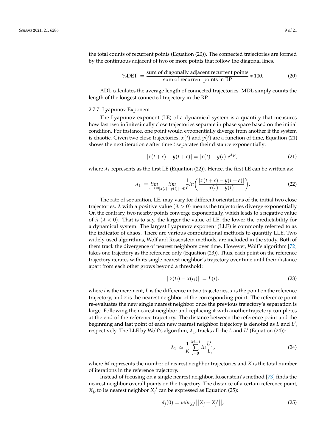the total counts of recurrent points (Equation (20)). The connected trajectories are formed by the continuous adjacent of two or more points that follow the diagonal lines.

$$
\%DET = \frac{\text{sum of diagonally adjacent recurrent points}}{\text{sum of recurrent points in RP}} * 100. \tag{20}
$$

ADL calculates the average length of connected trajectories. MDL simply counts the length of the longest connected trajectory in the RP.

#### 2.7.7. Lyapunov Exponent

The Lyapunov exponent (LE) of a dynamical system is a quantity that measures how fast two infinitesimally close trajectories separate in phase space based on the initial condition. For instance, one point would exponentially diverge from another if the system is chaotic. Given two close trajectories,  $x(t)$  and  $y(t)$  are a function of time, Equation (21) shows the next iteration *ε* after time *t* separates their distance exponentially:

$$
|x(t+\varepsilon) - y(t+\varepsilon)| = |x(t) - y(t)|e^{\lambda_1 \varepsilon}, \tag{21}
$$

where  $\lambda_1$  represents as the first LE (Equation (22)). Hence, the first LE can be written as:

$$
\lambda_1 = \lim_{\varepsilon \to \infty} \lim_{|x(t) - y(t)| \to 0} \frac{1}{\varepsilon} ln\left(\frac{|x(t + \varepsilon) - y(t + \varepsilon)|}{|x(t) - y(t)|}\right).
$$
 (22)

The rate of separation, LE, may vary for different orientations of the initial two close trajectories.  $\lambda$  with a positive value ( $\lambda > 0$ ) means the trajectories diverge exponentially. On the contrary, two nearby points converge exponentially, which leads to a negative value of  $\lambda$  ( $\lambda$  < 0). That is to say, the larger the value of LE, the lower the predictability for a dynamical system. The largest Lyapunov exponent (LLE) is commonly referred to as the indicator of chaos. There are various computational methods to quantify LLE. Two widely used algorithms, Wolf and Rosenstein methods, are included in the study. Both of them track the divergence of nearest neighbors over time. However, Wolf's algorithm [\[72\]](#page-21-10) takes one trajectory as the reference only (Equation (23)). Thus, each point on the reference trajectory iterates with its single nearest neighbor's trajectory over time until their distance apart from each other grows beyond a threshold:

$$
||z(t_i) - x(t_i)|| = L(i),
$$
\n(23)

where *i* is the increment, *L* is the difference in two trajectories, *x* is the point on the reference trajectory, and *z* is the nearest neighbor of the corresponding point. The reference point re-evaluates the new single nearest neighbor once the previous trajectory's separation is large. Following the nearest neighbor and replacing it with another trajectory completes at the end of the reference trajectory. The distance between the reference point and the beginning and last point of each new nearest neighbor trajectory is denoted as *L* and *L* 0 , respectively. The LLE by Wolf's algorithm,  $λ_1$ , tracks all the *L* and *L'* (Equation (24)):

$$
\lambda_1 \simeq \frac{1}{K} \sum_{i=0}^{M-1} \ln \frac{L'_i}{L_i},\tag{24}
$$

where *M* represents the number of nearest neighbor trajectories and *K* is the total number of iterations in the reference trajectory.

Instead of focusing on a single nearest neighbor, Rosenstein's method [\[73\]](#page-21-11) finds the nearest neighbor overall points on the trajectory. The distance of a certain reference point,  $X_j$ , to its nearest neighbor  $X_j'$  can be expressed as Equation (25):

$$
d_j(0) = min_{X'_j} ||X_j - X'_j||,
$$
\n(25)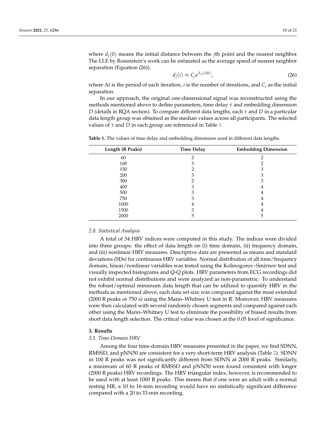where  $d_i(0)$  means the initial distance between the *j*th point and the nearest neighbor. The LLE by Rosenstein's work can be estimated as the average speed of nearest neighbor separation (Equation (26)).

$$
d_j(i) \approx C_j e^{\lambda_1(i\Delta t)},\tag{26}
$$

where ∆*t* is the period of each iteration, *i* is the number of iterations, and *C<sup>i</sup>* as the initial separation.

In our approach, the original one-dimensional signal was reconstructed using the methods mentioned above to define parameters, time delay *τ* and embedding dimension *D* (details in RQA section). To compare different data lengths, each *τ* and *D* in a particular data length group was obtained as the median values across all participants. The selected values of *τ* and *D* in each group are referenced in Table [1.](#page-11-0)

| Length (R Peaks) | <b>Time Delay</b> | <b>Embedding Dimension</b> |
|------------------|-------------------|----------------------------|
| 60               |                   |                            |
| 100              |                   |                            |
| 150              |                   |                            |
| 200              | 3                 | 3                          |
| 300              |                   | 3                          |
| 400              |                   |                            |
| 500              |                   |                            |
| 750              | З                 |                            |
| 1000             | ۰                 |                            |
| 1500             |                   |                            |
| 2000             | ר                 | 5                          |

<span id="page-11-0"></span>**Table 1.** The values of time delay and embedding dimension used in different data lengths.

#### *2.8. Statistical Analysis*

A total of 34 HRV indices were computed in this study. The indices were divided into three groups: the effect of data length on (i) time domain, (ii) frequency domain, and (iii) nonlinear HRV measures. Descriptive data are presented as means and standard deviations (SDs) for continuous HRV variables. Normal distribution of all time/frequency domain, linear/nonlinear variables was tested using the Kolmogorov–Smirnov test and visually inspected histograms and Q-Q plots. HRV parameters from ECG recordings did not exhibit normal distributions and were analyzed as non-parametric. To understand the robust/optimal minimum data length that can be utilized to quantify HRV in the methods as mentioned above, each data set size was compared against the most extended (2000 R peaks or 750 s) using the Mann–Whitney U test in R. Moreover, HRV measures were then calculated with several randomly chosen segments and compared against each other using the Mann–Whitney U test to eliminate the possibility of biased results from short data length selection. The critical value was chosen at the 0.05 level of significance.

### **3. Results**

#### *3.1. Time-Domain HRV*

Among the four time-domain HRV measures presented in the paper, we find SDNN, RMSSD, and pNN50 are consistent for a very short-term HRV analysis (Table [2\)](#page-12-0). SDNN in 100 R peaks was not significantly different from SDNN at 2000 R peaks. Similarly, a minimum of 60 R peaks of RMSSD and pNN50 were found consistent with longer (2000 R peaks) HRV recordings. The HRV triangular index, however, is recommended to be used with at least 1000 R peaks. This means that if one were an adult with a normal resting HR, a 10 to 16-min recording would have no statistically significant difference compared with a 20 to 33-min recording.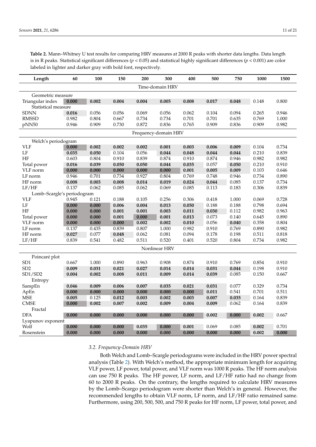<span id="page-12-0"></span>**Table 2.** Mann–Whitney U test results for comparing HRV measures at 2000 R peaks with shorter data lengths. Data length is in R peaks. Statistical significant differences (*p* < 0.05) and statistical highly significant differences (*p* < 0.001) are color labeled in lighter and darker gray with bold font, respectively.

| Length                     | 60    | 100   | 150   | 200   | 300   | 400   | 500   | 750   | 1000  | 1500  |
|----------------------------|-------|-------|-------|-------|-------|-------|-------|-------|-------|-------|
| Time-domain HRV            |       |       |       |       |       |       |       |       |       |       |
| Geometric measure          |       |       |       |       |       |       |       |       |       |       |
| Triangular index           | 0.000 | 0.002 | 0.004 | 0.004 | 0.005 | 0.008 | 0.017 | 0.048 | 0.148 | 0.800 |
| Statistical measure        |       |       |       |       |       |       |       |       |       |       |
| <b>SDNN</b>                | 0.016 | 0.056 | 0.056 | 0.069 | 0.056 | 0.062 | 0.104 | 0.094 | 0.265 | 0.946 |
| <b>RMSSD</b>               | 0.982 | 0.804 | 0.667 | 0.734 | 0.734 | 0.701 | 0.701 | 0.635 | 0.769 | 1.000 |
| pNN50                      | 0.946 | 0.909 | 0.730 | 0.872 | 0.836 | 0.765 | 0.909 | 0.836 | 0.909 | 0.982 |
| Frequency-domain HRV       |       |       |       |       |       |       |       |       |       |       |
| Welch's periodogram        |       |       |       |       |       |       |       |       |       |       |
| <b>VLF</b>                 | 0.000 | 0.002 | 0.002 | 0.002 | 0.001 | 0.003 | 0.006 | 0.009 | 0.104 | 0.734 |
| LF                         | 0.035 | 0.050 | 0.104 | 0.056 | 0.044 | 0.048 | 0.044 | 0.044 | 0.210 | 0.839 |
| HF                         | 0.603 | 0.804 | 0.910 | 0.839 | 0.874 | 0.910 | 0.874 | 0.946 | 0.982 | 0.982 |
| Total power                | 0.016 | 0.039 | 0.050 | 0.050 | 0.044 | 0.035 | 0.057 | 0.050 | 0.210 | 0.910 |
| VLF norm                   | 0.000 | 0.000 | 0.000 | 0.000 | 0.000 | 0.001 | 0.005 | 0.009 | 0.103 | 0.646 |
| LF norm                    | 0.946 | 0.701 | 0.734 | 0.927 | 0.804 | 0.769 | 0.748 | 0.946 | 0.734 | 0.890 |
| HF norm                    | 0.008 | 0.003 | 0.008 | 0.014 | 0.019 | 0.024 | 0.044 | 0.085 | 0.137 | 0.734 |
| LF/HF                      | 0.137 | 0.062 | 0.085 | 0.062 | 0.069 | 0.085 | 0.113 | 0.183 | 0.306 | 0.839 |
| Lomb-Scargle's periodogram |       |       |       |       |       |       |       |       |       |       |
| <b>VLF</b>                 | 0.945 | 0.121 | 0.188 | 0.105 | 0.256 | 0.306 | 0.418 | 1.000 | 0.069 | 0.728 |
| LF                         | 0.000 | 0.000 | 0.006 | 0.004 | 0.013 | 0.050 | 0.188 | 0.188 | 0.798 | 0.694 |
| HF                         | 0.000 | 0.000 | 0.001 | 0.001 | 0.003 | 0.011 | 0.030 | 0.112 | 0.982 | 0.963 |
| Total power                | 0.000 | 0.000 | 0.001 | 0.000 | 0.001 | 0.013 | 0.073 | 0.140 | 0.645 | 0.890 |
| VLF norm                   | 0.000 | 0.000 | 0.000 | 0.002 | 0.002 | 0.010 | 0.056 | 0.040 | 0.358 | 0.804 |
| LF norm                    | 0.137 | 0.435 | 0.839 | 0.807 | 1.000 | 0.982 | 0.910 | 0.769 | 0.890 | 0.982 |
| HF norm                    | 0.027 | 0.077 | 0.048 | 0.062 | 0.081 | 0.094 | 0.178 | 0.198 | 0.511 | 0.818 |
| LF/HF                      | 0.839 | 0.541 | 0.482 | 0.511 | 0.520 | 0.401 | 0.520 | 0.804 | 0.734 | 0.982 |
| Nonlinear HRV              |       |       |       |       |       |       |       |       |       |       |
| Poincaré plot              |       |       |       |       |       |       |       |       |       |       |
| SD <sub>1</sub>            | 0.667 | 1.000 | 0.890 | 0.963 | 0.908 | 0.874 | 0.910 | 0.769 | 0.854 | 0.910 |
| SD <sub>2</sub>            | 0.009 | 0.031 | 0.021 | 0.027 | 0.014 | 0.014 | 0.031 | 0.044 | 0.198 | 0.910 |
| SD1/SD2                    | 0.004 | 0.002 | 0.008 | 0.011 | 0.009 | 0.014 | 0.039 | 0.085 | 0.150 | 0.667 |
| Entropy                    |       |       |       |       |       |       |       |       |       |       |
| SampEn                     | 0.046 | 0.009 | 0.006 | 0.007 | 0.035 | 0.021 | 0.031 | 0.077 | 0.329 | 0.734 |
| ApEn                       | 0.000 | 0.000 | 0.000 | 0.000 | 0.000 | 0.000 | 0.011 | 0.541 | 0.701 | 0.511 |
| <b>MSE</b>                 | 0.005 | 0.125 | 0.012 | 0.003 | 0.002 | 0.003 | 0.007 | 0.035 | 0.164 | 0.839 |
| <b>CMSE</b>                | 0.000 | 0.002 | 0.007 | 0.002 | 0.009 | 0.004 | 0.009 | 0.062 | 0.164 | 0.839 |
| Fractal                    |       |       |       |       |       |       |       |       |       |       |
| <b>DFA</b>                 | 0.000 | 0.000 | 0.000 | 0.000 | 0.000 | 0.000 | 0.002 | 0.000 | 0.002 | 0.667 |
| Lyapunov exponent          |       |       |       |       |       |       |       |       |       |       |
| Wolf                       | 0.000 | 0.000 | 0.000 | 0.035 | 0.000 | 0.001 | 0.069 | 0.085 | 0.002 | 0.701 |
| Rosenstein                 | 0.000 | 0.000 | 0.000 | 0.000 | 0.000 | 0.000 | 0.000 | 0.000 | 0.002 | 0.000 |

#### *3.2. Frequency-Domain HRV*

Both Welch and Lomb–Scargle periodograms were included in the HRV power spectral analysis (Table [2\)](#page-12-0). With Welch's method, the appropriate minimum length for acquiring VLF power, LF power, total power, and VLF norm was 1000 R peaks. The HF norm analysis can use 750 R peaks. The HF power, LF norm, and LF/HF ratio had no change from 60 to 2000 R peaks. On the contrary, the lengths required to calculate HRV measures by the Lomb–Scargo periodogram were shorter than Welch's in general. However, the recommended lengths to obtain VLF norm, LF norm, and LF/HF ratio remained same. Furthermore, using 200, 500, 500, and 750 R peaks for HF norm, LF power, total power, and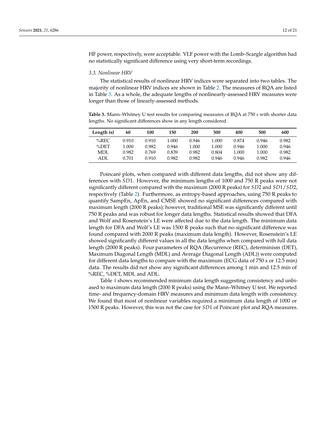HF power, respectively, were acceptable. VLF power with the Lomb–Scargle algorithm had no statistically significant difference using very short-term recordings.

#### *3.3. Nonlinear HRV*

The statistical results of nonlinear HRV indices were separated into two tables. The majority of nonlinear HRV indices are shown in Table [2.](#page-12-0) The measures of RQA are listed in Table [3.](#page-13-0) As a whole, the adequate lengths of nonlinearly-assessed HRV measures were longer than those of linearly-assessed methods.

<span id="page-13-0"></span>**Table 3.** Mann–Whitney U test results for comparing measures of RQA at 750 *s* with shorter data lengths. No significant differences show in any length considered.

| Length (s) | 60    | 100   | 150   | 200   | 300   | 400   | 500   | 600   |
|------------|-------|-------|-------|-------|-------|-------|-------|-------|
| $%$ REC    | 0.910 | 0.910 | 1.000 | 0.946 | 1.000 | 0.874 | 0.946 | 0.982 |
| $\%$ DET   | 1.000 | 0.982 | 0.946 | 1.000 | 1.000 | 0.946 | 1.000 | 0.946 |
| MDL        | 0.982 | 0.769 | 0.839 | 0.982 | 0.804 | 1.000 | 1.000 | 0.982 |
| ADL        | 0.701 | 0.910 | 0.982 | 0.982 | 0.946 | 0.946 | 0.982 | 0.946 |

Poincaré plots, when compared with different data lengths, did not show any differences with *SD*1. However, the minimum lengths of 1000 and 750 R peaks were not significantly different compared with the maximum (2000 R peaks) for *SD*2 and *SD*1/*SD*2, respectively (Table [2\)](#page-12-0). Furthermore, as entropy-based approaches, using 750 R peaks to quantify SampEn, ApEn, and CMSE showed no significant differences compared with maximum length (2000 R peaks); however, traditional MSE was significantly different until 750 R peaks and was robust for longer data lengths. Statistical results showed that DFA and Wolf and Rosenstein's LE were affected due to the data length. The minimum data length for DFA and Wolf's LE was 1500 R peaks such that no significant difference was found compared with 2000 R peaks (maximum data length). However, Rosenstein's LE showed significantly different values in all the data lengths when compared with full data length (2000 R peaks). Four parameters of RQA (Recurrence (REC), determinism (DET), Maximum Diagonal Length (MDL) and Average Diagonal Length (ADL)) were computed for different data lengths to compare with the maximum (ECG data of 750 s or 12.5 min) data. The results did not show any significant differences among 1 min and 12.5 min of %REC, %DET, MDL and ADL.

Table [4](#page-14-0) shows recommended minimum data length suggesting consistency and unbiased to maximum data length (2000 R peaks) using the Mann–Whitney U test. We reported time- and frequency-domain HRV measures and minimum data length with consistency. We found that most of nonlinear variables required a minimum data length of 1000 or 1500 R peaks. However, this was not the case for *SD*1 of Poincaré plot and RQA measures.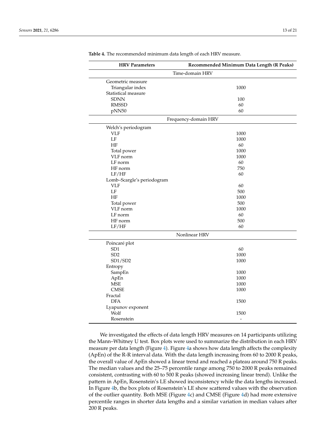| <b>HRV Parameters</b>      | Recommended Minimum Data Length (R Peaks) |  |  |  |  |
|----------------------------|-------------------------------------------|--|--|--|--|
| Time-domain HRV            |                                           |  |  |  |  |
| Geometric measure          |                                           |  |  |  |  |
| Triangular index           | 1000                                      |  |  |  |  |
| Statistical measure        |                                           |  |  |  |  |
| <b>SDNN</b>                | 100                                       |  |  |  |  |
| <b>RMSSD</b>               | 60                                        |  |  |  |  |
| pNN50                      | 60                                        |  |  |  |  |
|                            | Frequency-domain HRV                      |  |  |  |  |
| Welch's periodogram        |                                           |  |  |  |  |
| <b>VLF</b>                 | 1000                                      |  |  |  |  |
| LF                         | 1000                                      |  |  |  |  |
| HF                         | 60                                        |  |  |  |  |
| Total power                | 1000                                      |  |  |  |  |
| VLF norm                   | 1000                                      |  |  |  |  |
| LF norm                    | 60                                        |  |  |  |  |
| HF norm                    | 750                                       |  |  |  |  |
| LF/HF                      | 60                                        |  |  |  |  |
| Lomb-Scargle's periodogram |                                           |  |  |  |  |
| <b>VLF</b>                 | 60                                        |  |  |  |  |
| LF                         | 500                                       |  |  |  |  |
| HF                         | 1000                                      |  |  |  |  |
| Total power                | 500                                       |  |  |  |  |
| VLF norm                   | 1000                                      |  |  |  |  |
| LF norm                    | 60                                        |  |  |  |  |
| HF norm                    | 500                                       |  |  |  |  |
| LF/HF                      | 60                                        |  |  |  |  |
| Nonlinear HRV              |                                           |  |  |  |  |
| Poincaré plot              |                                           |  |  |  |  |
| SD <sub>1</sub>            | 60                                        |  |  |  |  |
| SD <sub>2</sub>            | 1000                                      |  |  |  |  |
| SD1/SD2                    | 1000                                      |  |  |  |  |
| Entropy                    |                                           |  |  |  |  |
| SampEn                     | 1000                                      |  |  |  |  |
| ApEn                       | 1000                                      |  |  |  |  |
| <b>MSE</b>                 | 1000                                      |  |  |  |  |
| <b>CMSE</b>                | 1000                                      |  |  |  |  |
| Fractal                    |                                           |  |  |  |  |
| <b>DFA</b>                 | 1500                                      |  |  |  |  |
| Lyapunov exponent          |                                           |  |  |  |  |
| Wolf                       | 1500                                      |  |  |  |  |
| Rosenstein                 | $\qquad \qquad \blacksquare$              |  |  |  |  |

<span id="page-14-0"></span>**Table 4.** The recommended minimum data length of each HRV measure.

We investigated the effects of data length HRV measures on 14 participants utilizing the Mann–Whitney U test. Box plots were used to summarize the distribution in each HRV measure per data length (Figure [4\)](#page-15-0). Figure [4a](#page-15-0) shows how data length affects the complexity (ApEn) of the R-R interval data. With the data length increasing from 60 to 2000 R peaks, the overall value of ApEn showed a linear trend and reached a plateau around 750 R peaks. The median values and the 25–75 percentile range among 750 to 2000 R peaks remained consistent, contrasting with 60 to 500 R peaks (showed increasing linear trend). Unlike the pattern in ApEn, Rosenstein's LE showed inconsistency while the data lengths increased. In Figure [4b](#page-15-0), the box plots of Rosenstein's LE show scattered values with the observation of the outlier quantity. Both MSE (Figure [4c](#page-15-0)) and CMSE (Figure [4d](#page-15-0)) had more extensive percentile ranges in shorter data lengths and a similar variation in median values after 200 R peaks.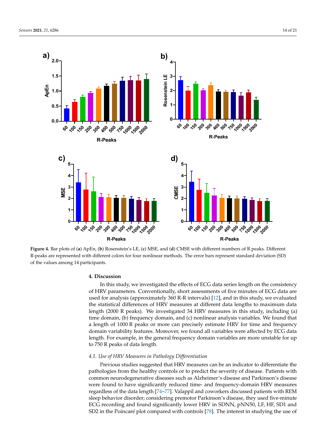<span id="page-15-0"></span>

R-peaks are represented with different colors for four nonlinear methods. The error bars represent standard deviation (SD) of the values among 14 participants. The error bars represent standard deviation  $\alpha$ **Figure 4.** Bar plots of (**a**) ApEn, (**b**) Rosenstein's LE, (**c**) MSE, and (**d**) CMSE with different numbers of R peaks. Different

#### **4. Discussion**

In this study, we investigated the effects of ECG data series length on the consistency of HRV parameters. Conventionally, short assessments of five minutes of ECG data are used for analysis (approximately 360 R-R intervals) [12], and in this study, we evaluated the statistical differences of HRV measures at different data lengths to maximum data length (2000 R peaks). We investigated 34 HRV measures in this study, including (a) time domain, (b) frequency domain, and (c) nonlinear analysis variables. We found that a length of 1000 R peaks or more can precisely estimate HRV for time and frequency domain variability features. Moreover, we found all variables were affected by ECG data length. For example, in the general frequency domain variables are more unstable for up to 750 R peaks of data length.  $\overline{a}$ 

#### peaks of data length. *4.1. Use of HRV Measures in Pathology Differentiation*

*4.1. Use of HRV Measures in Pathology Differentiation*  Previous studies suggested that HRV measures can be an indicator to differentiate the pathologies from the healthy controls or to predict the severity of disease. Patients with common neurodegenerative diseases such as Alzheimer's disease and Parkinson's disease were found to have significantly reduced time- and frequency-domain HRV measures regardless of the data length [\[74](#page-21-12)[–77\]](#page-21-13). Valappil and coworkers discussed patients with REM sleep behavior disorder; considering premotor Parkinson's disease, they used five-minute ECG recording and found significantly lower HRV in SDNN, pNN50, LF, HF, SD1 and  $\overline{C}$ SD2 in the Poincaré plot compared with controls [\[78\]](#page-21-14). The interest in studying the use of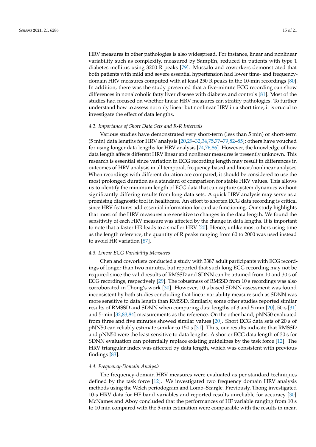HRV measures in other pathologies is also widespread. For instance, linear and nonlinear variability such as complexity, measured by SampEn, reduced in patients with type 1 diabetes mellitus using 3200 R peaks [\[79\]](#page-21-15). Mussalo and coworkers demonstrated that both patients with mild and severe essential hypertension had lower time- and frequencydomain HRV measures computed with at least 250 R peaks in the 10-min recordings [\[80\]](#page-21-16). In addition, there was the study presented that a five-minute ECG recording can show differences in nonalcoholic fatty liver disease with diabetes and controls [\[81\]](#page-21-17). Most of the studies had focused on whether linear HRV measures can stratify pathologies. To further understand how to assess not only linear but nonlinear HRV in a short time, it is crucial to investigate the effect of data lengths.

#### *4.2. Importance of Short Data Sets and R-R Intervals*

Various studies have demonstrated very short-term (less than 5 min) or short-term (5 min) data lengths for HRV analysis [\[20](#page-19-16)[,29–](#page-19-20)[32](#page-19-22)[,34](#page-20-1)[,75](#page-21-18)[,77](#page-21-13)[–79](#page-21-15)[,82–](#page-21-19)[85\]](#page-21-20); others have vouched for using longer data lengths for HRV analysis [\[74,](#page-21-12)[76,](#page-21-21)[86\]](#page-21-22). However, the knowledge of how data length affects different HRV linear and nonlinear measures is presently unknown. This research is essential since variation in ECG recording length may result in differences in outcomes of HRV analysis in all temporal, frequency-based and linear/nonlinear analyses. When recordings with different duration are compared, it should be considered to use the most prolonged duration as a standard of comparison for stable HRV values. This allows us to identify the minimum length of ECG data that can capture system dynamics without significantly differing results from long data sets. A quick HRV analysis may serve as a promising diagnostic tool in healthcare. An effort to shorten ECG data recording is critical since HRV features add essential information for cardiac functioning. Our study highlights that most of the HRV measures are sensitive to changes in the data length. We found the sensitivity of each HRV measure was affected by the change in data lengths. It is important to note that a faster HR leads to a smaller HRV [\[20\]](#page-19-16). Hence, unlike most others using time as the length reference, the quantity of R peaks ranging from 60 to 2000 was used instead to avoid HR variation [\[87\]](#page-21-23).

#### *4.3. Linear ECG Variability Measures*

Chen and coworkers conducted a study with 3387 adult participants with ECG recordings of longer than two minutes, but reported that such long ECG recording may not be required since the valid results of RMSSD and SDNN can be attained from 10 and 30 s of ECG recordings, respectively [\[29\]](#page-19-20). The robustness of RMSSD from 10 s recordings was also corroborated in Thong's work [\[30\]](#page-19-21). However, 10 s based SDNN assessment was found inconsistent by both studies concluding that linear variability measure such as SDNN was more sensitive to data length than RMSSD. Similarly, some other studies reported similar results of RMSSD and SDNN when comparing data lengths of 3 and 5 min [\[20\]](#page-19-16), 50-s [\[31\]](#page-19-23) and 5-min [\[32,](#page-19-22)[83,](#page-21-24)[84\]](#page-21-25) measurements as the reference. On the other hand, pNN50 evaluated from three and five minutes showed similar values [\[20\]](#page-19-16). Short ECG data sets of 20 s of pNN50 can reliably estimate similar to 150 s [\[31\]](#page-19-23). Thus, our results indicate that RMSSD and pNN50 were the least sensitive to data lengths. A shorter ECG data length of 30 s for SDNN evaluation can potentially replace existing guidelines by the task force [\[12\]](#page-19-7). The HRV triangular index was affected by data length, which was consistent with previous findings [\[83\]](#page-21-24).

#### *4.4. Frequency-Domain Analysis*

The frequency-domain HRV measures were evaluated as per standard techniques defined by the task force [\[12\]](#page-19-7). We investigated two frequency domain HRV analysis methods using the Welch periodogram and Lomb–Scargle. Previously, Thong investigated 10-s HRV data for HF band variables and reported results unreliable for accuracy [\[30\]](#page-19-21). McNames and Aboy concluded that the performances of HF variable ranging from 10 s to 10 min compared with the 5-min estimation were comparable with the results in mean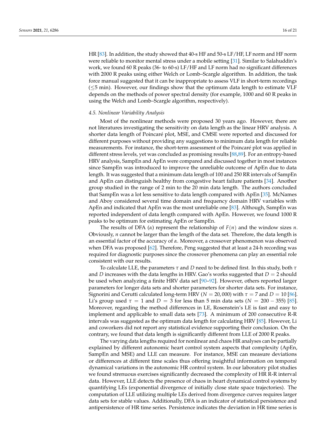HR [\[83\]](#page-21-24). In addition, the study showed that 40-s HF and 50-s LF/HF, LF norm and HF norm were reliable to monitor mental stress under a mobile setting [\[31\]](#page-19-23). Similar to Salahuddin's work, we found 60 R peaks (36- to 60-s) LF/HF and LF norm had no significant differences with 2000 R peaks using either Welch or Lomb–Scargle algorithm. In addition, the task force manual suggested that it can be inappropriate to assess VLF in short-term recordings (≤5 min). However, our findings show that the optimum data length to estimate VLF depends on the methods of power spectral density (for example, 1000 and 60 R peaks in using the Welch and Lomb–Scargle algorithm, respectively).

#### *4.5. Nonlinear Variability Analysis*

Most of the nonlinear methods were proposed 30 years ago. However, there are not literatures investigating the sensitivity on data length as the linear HRV analysis. A shorter data length of Poincaré plot, MSE, and CMSE were reported and discussed for different purposes without providing any suggestions to minimum data length for reliable measurements. For instance, the short-term assessment of the Poincaré plot was applied in different stress levels, yet was concluded as promising results [\[88](#page-22-0)[,89\]](#page-22-1). For an entropy-based HRV analysis, SampEn and ApEn were compared and discussed together in most instances since SampEn was introduced to improve the unreliable outcome of ApEn due to data length. It was suggested that a minimum data length of 100 and 250 RR intervals of SampEn and ApEn can distinguish healthy from congestive heart failure patients [\[34\]](#page-20-1). Another group studied in the range of 2 min to the 20 min data length. The authors concluded that SampEn was a lot less sensitive to data length compared with ApEn [\[35\]](#page-20-3). McNames and Aboy considered several time domain and frequency domain HRV variables with ApEn and indicated that ApEn was the most unreliable one [\[83\]](#page-21-24). Although, SampEn was reported independent of data length compared with ApEn. However, we found 1000 R peaks to be optimum for estimating ApEn or SampEn.

The results of DFA (*α*) represent the relationship of *F*(*n*) and the window sizes *n*. Obviously, *n* cannot be larger than the length of the data set. Therefore, the data length is an essential factor of the accuracy of *α*. Moreover, a crossover phenomenon was observed when DFA was proposed [\[62\]](#page-21-0). Therefore, Peng suggested that at least a 24-h recording was required for diagnostic purposes since the crossover phenomena can play an essential role consistent with our results.

To calculate LLE, the parameters *τ* and *D* need to be defined first. In this study, both *τ* and *D* increases with the data lengths in HRV. Gao's works suggested that  $D = 2$  should be used when analyzing a finite HRV data set [\[90](#page-22-2)[–92\]](#page-22-3). However, others reported larger parameters for longer data sets and shorter parameters for shorter data sets. For instance, Signorini and Cerutti calculated long-term HRV ( $N = 20,000$ ) with  $\tau = 7$  and  $D = 10$  [\[86\]](#page-21-22). Li's group used  $τ = 1$  and  $D = 3$  for less than 5 min data sets ( $N = 200 - 355$ ) [\[85\]](#page-21-20). Moreover, regarding the method differences in LE, Rosenstein's LE is fast and easy to implement and applicable to small data sets [\[73\]](#page-21-11). A minimum of 200 consecutive R-R intervals was suggested as the optimum data length for calculating HRV [\[85\]](#page-21-20). However, Li and coworkers did not report any statistical evidence supporting their conclusion. On the contrary, we found that data length is significantly different from LLE of 2000 R peaks.

The varying data lengths required for nonlinear and chaos HR analyses can be partially explained by different autonomic heart control system aspects that complexity (ApEn, SampEn and MSE) and LLE can measure. For instance, MSE can measure deviations or differences at different time scales thus offering insightful information on temporal dynamical variations in the autonomic HR control system. In our laboratory pilot studies we found strenuous exercises significantly decreased the complexity of HR R-R interval data. However, LLE detects the presence of chaos in heart dynamical control systems by quantifying LEs (exponential divergence of initially close state space trajectories). The computation of LLE utilizing multiple LEs derived from divergence curves requires larger data sets for stable values. Additionally, DFA is an indicator of statistical persistence and antipersistence of HR time series. Persistence indicates the deviation in HR time series is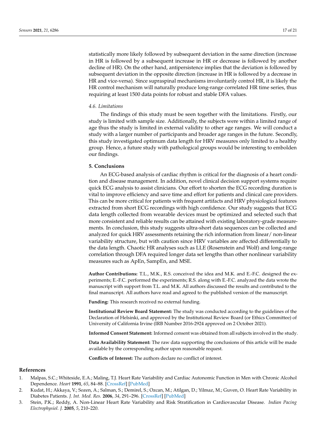statistically more likely followed by subsequent deviation in the same direction (increase in HR is followed by a subsequent increase in HR or decrease is followed by another decline of HR). On the other hand, antipersistence implies that the deviation is followed by subsequent deviation in the opposite direction (increase in HR is followed by a decrease in HR and vice-versa). Since supraspinal mechanisms involuntarily control HR, it is likely the HR control mechanism will naturally produce long-range correlated HR time series, thus requiring at least 1500 data points for robust and stable DFA values.

#### *4.6. Limitations*

The findings of this study must be seen together with the limitations. Firstly, our study is limited with sample size. Additionally, the subjects were within a limited range of age thus the study is limited in external validity to other age ranges. We will conduct a study with a larger number of participants and broader age ranges in the future. Secondly, this study investigated optimum data length for HRV measures only limited to a healthy group. Hence, a future study with pathological groups would be interesting to embolden our findings.

#### **5. Conclusions**

An ECG-based analysis of cardiac rhythm is critical for the diagnosis of a heart condition and disease management. In addition, novel clinical decision support systems require quick ECG analysis to assist clinicians. Our effort to shorten the ECG recording duration is vital to improve efficiency and save time and effort for patients and clinical care providers. This can be more critical for patients with frequent artifacts and HRV physiological features extracted from short ECG recordings with high confidence. Our study suggests that ECG data length collected from wearable devices must be optimized and selected such that more consistent and reliable results can be attained with existing laboratory-grade measurements. In conclusion, this study suggests ultra-short data sequences can be collected and analyzed for quick HRV assessments retaining the rich information from linear/ non-linear variability structure, but with caution since HRV variables are affected differentially to the data length. Chaotic HR analyses such as LLE (Rosenstein and Wolf) and long-range correlation through DFA required longer data set lengths than other nonlinear variability measures such as ApEn, SampEn, and MSE.

**Author Contributions:** T.L., M.K., R.S. conceived the idea and M.K. and E.-F.C. designed the experiments; E.-F.C. performed the experiments; R.S. along with E.-F.C. analyzed the data wrote the manuscript with support from T.L. and M.K. All authors discussed the results and contributed to the final manuscript. All authors have read and agreed to the published version of the manuscript.

**Funding:** This research received no external funding.

**Institutional Review Board Statement:** The study was conducted according to the guidelines of the Declaration of Helsinki, and approved by the Institutional Review Board (or Ethics Committee) of University of California Irvine (IRB Number 2016-2924 approved on 2 October 2021).

**Informed Consent Statement:** Informed consent was obtained from all subjects involved in the study.

**Data Availability Statement:** The raw data supporting the conclusions of this article will be made available by the corresponding author upon reasonable request.

**Conflicts of Interest:** The authors declare no conflict of interest.

## **References**

- <span id="page-18-0"></span>1. Malpas, S.C.; Whiteside, E.A.; Maling, T.J. Heart Rate Variability and Cardiac Autonomic Function in Men with Chronic Alcohol Dependence. *Heart* **1991**, *65*, 84–88. [\[CrossRef\]](http://doi.org/10.1136/hrt.65.2.84) [\[PubMed\]](http://www.ncbi.nlm.nih.gov/pubmed/1867951)
- <span id="page-18-1"></span>2. Kudat, H.; Akkaya, V.; Sozen, A.; Salman, S.; Demirel, S.; Ozcan, M.; Atilgan, D.; Yilmaz, M.; Guven, O. Heart Rate Variability in Diabetes Patients. *J. Int. Med. Res.* **2006**, *34*, 291–296. [\[CrossRef\]](http://doi.org/10.1177/147323000603400308) [\[PubMed\]](http://www.ncbi.nlm.nih.gov/pubmed/16866023)
- <span id="page-18-2"></span>3. Stein, P.K.; Reddy, A. Non-Linear Heart Rate Variability and Risk Stratification in Cardiovascular Disease. *Indian Pacing Electrophysiol. J.* **2005**, *5*, 210–220.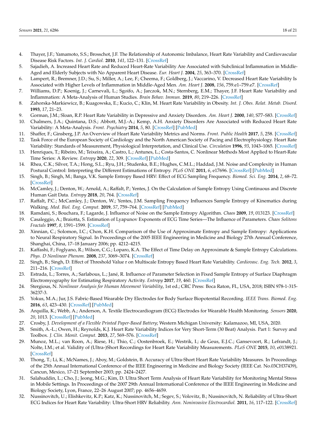- <span id="page-19-0"></span>4. Thayer, J.F.; Yamamoto, S.S.; Brosschot, J.F. The Relationship of Autonomic Imbalance, Heart Rate Variability and Cardiovascular Disease Risk Factors. *Int. J. Cardiol.* **2010**, *141*, 122–131. [\[CrossRef\]](http://doi.org/10.1016/j.ijcard.2009.09.543)
- <span id="page-19-1"></span>5. Sajadieh, A. Increased Heart Rate and Reduced Heart-Rate Variability Are Associated with Subclinical Inflammation in Middle-Aged and Elderly Subjects with No Apparent Heart Disease. *Eur. Heart J.* **2004**, *25*, 363–370. [\[CrossRef\]](http://doi.org/10.1016/j.ehj.2003.12.003)
- 6. Lampert, R.; Bremner, J.D.; Su, S.; Miller, A.; Lee, F.; Cheema, F.; Goldberg, J.; Vaccarino, V. Decreased Heart Rate Variability Is Associated with Higher Levels of Inflammation in Middle-Aged Men. *Am. Heart J.* **2008**, *156*, 759.e1–759.e7. [\[CrossRef\]](http://doi.org/10.1016/j.ahj.2008.07.009)
- <span id="page-19-2"></span>7. Williams, D.P.; Koenig, J.; Carnevali, L.; Sgoifo, A.; Jarczok, M.N.; Sternberg, E.M.; Thayer, J.F. Heart Rate Variability and Inflammation: A Meta-Analysis of Human Studies. *Brain Behav. Immun.* **2019**, *80*, 219–226. [\[CrossRef\]](http://doi.org/10.1016/j.bbi.2019.03.009)
- <span id="page-19-3"></span>8. Zahorska-Markiewicz, B.; Kuagowska, E.; Kucio, C.; Klin, M. Heart Rate Variability in Obesity. *Int. J. Obes. Relat. Metab. Disord.* **1993**, *17*, 21–23.
- <span id="page-19-4"></span>9. Gorman, J.M.; Sloan, R.P. Heart Rate Variability in Depressive and Anxiety Disorders. *Am. Heart J.* **2000**, *140*, S77–S83. [\[CrossRef\]](http://doi.org/10.1067/mhj.2000.109981)
- <span id="page-19-5"></span>10. Chalmers, J.A.; Quintana, D.S.; Abbott, M.J.-A.; Kemp, A.H. Anxiety Disorders Are Associated with Reduced Heart Rate Variability: A Meta-Analysis. *Front. Psychiatry* **2014**, *5*, 80. [\[CrossRef\]](http://doi.org/10.3389/fpsyt.2014.00080) [\[PubMed\]](http://www.ncbi.nlm.nih.gov/pubmed/25071612)
- <span id="page-19-6"></span>11. Shaffer, F.; Ginsberg, J.P. An Overview of Heart Rate Variability Metrics and Norms. *Front. Public Health* **2017**, *5*, 258. [\[CrossRef\]](http://doi.org/10.3389/fpubh.2017.00258)
- <span id="page-19-7"></span>12. Task Force of the European Society of Cardiology and the North American Society of Pacing and Electrophysiology. Heart Rate Variability: Standards of Measurement, Physiological Interpretation, and Clinical Use. *Circulation* **1996**, *93*, 1043–1065. [\[CrossRef\]](http://doi.org/10.1161/01.CIR.93.5.1043)
- <span id="page-19-8"></span>13. Henriques, T.; Ribeiro, M.; Teixeira, A.; Castro, L.; Antunes, L.; Costa-Santos, C. Nonlinear Methods Most Applied to Heart-Rate Time Series: A Review. *Entropy* **2020**, *22*, 309. [\[CrossRef\]](http://doi.org/10.3390/e22030309) [\[PubMed\]](http://www.ncbi.nlm.nih.gov/pubmed/33286083)
- <span id="page-19-9"></span>14. Rhea, C.K.; Silver, T.A.; Hong, S.L.; Ryu, J.H.; Studenka, B.E.; Hughes, C.M.L.; Haddad, J.M. Noise and Complexity in Human Postural Control: Interpreting the Different Estimations of Entropy. *PLoS ONE* **2011**, *6*, e17696. [\[CrossRef\]](http://doi.org/10.1371/journal.pone.0017696) [\[PubMed\]](http://www.ncbi.nlm.nih.gov/pubmed/21437281)
- 15. Singh, B.; Singh, M.; Banga, V.K. Sample Entropy Based HRV: Effect of ECG Sampling Frequency. *Biomed. Sci. Eng.* **2014**, *2*, 68–72. [\[CrossRef\]](http://doi.org/10.12691/bse-2-3-3)
- <span id="page-19-12"></span>16. McCamley, J.; Denton, W.; Arnold, A.; Raffalt, P.; Yentes, J. On the Calculation of Sample Entropy Using Continuous and Discrete Human Gait Data. *Entropy* **2018**, *20*, 764. [\[CrossRef\]](http://doi.org/10.3390/e20100764)
- <span id="page-19-10"></span>17. Raffalt, P.C.; McCamley, J.; Denton, W.; Yentes, J.M. Sampling Frequency Influences Sample Entropy of Kinematics during Walking. *Med. Biol. Eng. Comput.* **2019**, *57*, 759–764. [\[CrossRef\]](http://doi.org/10.1007/s11517-018-1920-2) [\[PubMed\]](http://www.ncbi.nlm.nih.gov/pubmed/30392162)
- <span id="page-19-11"></span>18. Ramdani, S.; Bouchara, F.; Lagarde, J. Influence of Noise on the Sample Entropy Algorithm. *Chaos* **2009**, *19*, 013123. [\[CrossRef\]](http://doi.org/10.1063/1.3081406)
- <span id="page-19-13"></span>19. Casaleggio, A.; Braiotta, S. Estimation of Lyapunov Exponents of ECG Time Series—The Influence of Parameters. *Chaos Solitons Fractals* **1997**, *8*, 1591–1599. [\[CrossRef\]](http://doi.org/10.1016/S0960-0779(97)00040-4)
- <span id="page-19-16"></span>20. Xinnian, C.; Solomon, I.C.; Chon, K.H. Comparison of the Use of Approximate Entropy and Sample Entropy: Applications to Neural Respiratory Signal. In Proceedings of the 2005 IEEE Engineering in Medicine and Biology 27th Annual Conference, Shanghai, China, 17–18 January 2006; pp. 4212–4215.
- 21. Kaffashi, F.; Foglyano, R.; Wilson, C.G.; Loparo, K.A. The Effect of Time Delay on Approximate & Sample Entropy Calculations. *Phys. D Nonlinear Phenom.* **2008**, *237*, 3069–3074. [\[CrossRef\]](http://doi.org/10.1016/j.physd.2008.06.005)
- 22. Singh, B.; Singh, D. Effect of Threshold Value r on Multiscale Entropy Based Heart Rate Variability. *Cardiovasc. Eng. Tech.* **2012**, *3*, 211–216. [\[CrossRef\]](http://doi.org/10.1007/s13239-012-0082-x)
- <span id="page-19-14"></span>23. Estrada, L.; Torres, A.; Sarlabous, L.; Jané, R. Influence of Parameter Selection in Fixed Sample Entropy of Surface Diaphragm Electromyography for Estimating Respiratory Activity. *Entropy* **2017**, *19*, 460. [\[CrossRef\]](http://doi.org/10.3390/e19090460)
- <span id="page-19-15"></span>24. Stergious, N. *Nonlinear Analysis for Human Movement Variability*, 1st ed.; CRC Press: Boca Raton, FL, USA, 2018; ISBN 978-1-315- 36237-3.
- <span id="page-19-17"></span>25. Yokus, M.A.; Jur, J.S. Fabric-Based Wearable Dry Electrodes for Body Surface Biopotential Recording. *IEEE Trans. Biomed. Eng.* **2016**, *63*, 423–430. [\[CrossRef\]](http://doi.org/10.1109/TBME.2015.2462312) [\[PubMed\]](http://www.ncbi.nlm.nih.gov/pubmed/26241969)
- 26. Arquilla, K.; Webb, A.; Anderson, A. Textile Electrocardiogram (ECG) Electrodes for Wearable Health Monitoring. *Sensors* **2020**, *20*, 1013. [\[CrossRef\]](http://doi.org/10.3390/s20041013) [\[PubMed\]](http://www.ncbi.nlm.nih.gov/pubmed/32069937)
- <span id="page-19-18"></span>27. Crosby, J. *Development of a Flexible Printed Paper-Based Battery*; Western Michigan University: Kalamazoo, MI, USA, 2020.
- <span id="page-19-19"></span>28. Smith, A.-L.; Owen, H.; Reynolds, K.J. Heart Rate Variability Indices for Very Short-Term (30 Beat) Analysis. Part 1: Survey and Toolbox. *J. Clin. Monit. Comput.* **2013**, *27*, 569–576. [\[CrossRef\]](http://doi.org/10.1007/s10877-013-9471-4)
- <span id="page-19-20"></span>29. Munoz, M.L.; van Roon, A.; Riese, H.; Thio, C.; Oostenbroek, E.; Westrik, I.; de Geus, E.J.C.; Gansevoort, R.; Lefrandt, J.; Nolte, I.M.; et al. Validity of (Ultra-)Short Recordings for Heart Rate Variability Measurements. *PLoS ONE* **2015**, *10*, e0138921. [\[CrossRef\]](http://doi.org/10.1371/journal.pone.0138921)
- <span id="page-19-21"></span>30. Thong, T.; Li, K.; McNames, J.; Aboy, M.; Goldstein, B. Accuracy of Ultra-Short Heart Rate Variability Measures. In Proceedings of the 25th Annual International Conference of the IEEE Engineering in Medicine and Biology Society (IEEE Cat. No.03CH37439), Cancun, Mexico, 17–21 September 2003; pp. 2424–2427.
- <span id="page-19-23"></span>31. Salahuddin, L.; Cho, J.; Jeong, M.G.; Kim, D. Ultra Short Term Analysis of Heart Rate Variability for Monitoring Mental Stress in Mobile Settings. In Proceedings of the 2007 29th Annual International Conference of the IEEE Engineering in Medicine and Biology Society, Lyon, France, 22–26 August 2007; pp. 4656–4659.
- <span id="page-19-22"></span>32. Nussinovitch, U.; Elishkevitz, K.P.; Katz, K.; Nussinovitch, M.; Segev, S.; Volovitz, B.; Nussinovitch, N. Reliability of Ultra-Short ECG Indices for Heart Rate Variability: Ultra-Short HRV Reliability. *Ann. Noninvasive Electrocardiol.* **2011**, *16*, 117–122. [\[CrossRef\]](http://doi.org/10.1111/j.1542-474X.2011.00417.x)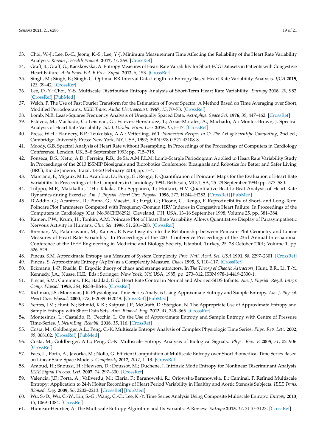- <span id="page-20-0"></span>33. Choi, W.-J.; Lee, B.-C.; Jeong, K.-S.; Lee, Y.-J. Minimum Measurement Time Affecting the Reliability of the Heart Rate Variability Analysis. *Korean J. Health Promot.* **2017**, *17*, 269. [\[CrossRef\]](http://doi.org/10.15384/kjhp.2017.17.4.269)
- <span id="page-20-1"></span>34. Graff, B.; Graff, G.; Kaczkowska, A. Entropy Measures of Heart Rate Variability for Short ECG Datasets in Patients with Congestive Heart Failure. *Acta Phys. Pol. B Proc. Suppl.* **2012**, *5*, 153. [\[CrossRef\]](http://doi.org/10.5506/APhysPolBSupp.5.153)
- <span id="page-20-3"></span>35. Singh, M.; Singh, B.; Singh, G. Optimal RR-Interval Data Length for Entropy Based Heart Rate Variability Analysis. *IJCA* **2015**, *123*, 39–42. [\[CrossRef\]](http://doi.org/10.5120/ijca2015905667)
- <span id="page-20-2"></span>36. Lee, D.-Y.; Choi, Y.-S. Multiscale Distribution Entropy Analysis of Short-Term Heart Rate Variability. *Entropy* **2018**, *20*, 952. [\[CrossRef\]](http://doi.org/10.3390/e20120952) [\[PubMed\]](http://www.ncbi.nlm.nih.gov/pubmed/33266676)
- <span id="page-20-4"></span>37. Welch, P. The Use of Fast Fourier Transform for the Estimation of Power Spectra: A Method Based on Time Averaging over Short, Modified Periodograms. *IEEE Trans. Audio Electroacoust.* **1967**, *15*, 70–73. [\[CrossRef\]](http://doi.org/10.1109/TAU.1967.1161901)
- <span id="page-20-5"></span>38. Lomb, N.R. Least-Squares Frequency Analysis of Unequally Spaced Data. *Astrophys. Space Sci.* **1976**, *39*, 447–462. [\[CrossRef\]](http://doi.org/10.1007/BF00648343)
- <span id="page-20-6"></span>39. Estévez, M.; Machado, C.; Leisman, G.; Estévez-Hernández, T.; Arias-Morales, A.; Machado, A.; Montes-Brown, J. Spectral Analysis of Heart Rate Variability. *Int. J. Disabil. Hum. Dev.* **2016**, *15*, 5–17. [\[CrossRef\]](http://doi.org/10.1515/ijdhd-2014-0025)
- <span id="page-20-7"></span>40. Press, W.H.; Flannery, B.P.; Teukolsky, A.A.; Vetterling, W.T. *Numerical Recipes in C: The Art of Scientific Computing*, 2nd ed.; Cambridge University Press: New York, NY, USA, 1992; ISBN 978-0-521-43108-8.
- 41. Moody, G.B. Spectral Analysis of Heart Rate without Resampling. In Proceedings of the Proceedings of Computers in Cardiology Conference, London, UK, 5–8 September 1993; pp. 715–718.
- <span id="page-20-8"></span>42. Fonseca, D.S.; Netto, A.D.; Ferreira, R.B.; de Sa, A.M.F.L.M. Lomb-Scargle Periodogram Applied to Heart Rate Variability Study. In Proceedings of the 2013 ISSNIP Biosignals and Biorobotics Conference: Biosignals and Robotics for Better and Safer Living (BRC), Rio de Janerio, Brazil, 18–20 February 2013; pp. 1–4.
- <span id="page-20-9"></span>43. Marciano, F.; Migaux, M.L.; Acanfora, D.; Furgi, G.; Rengo, F. Quantification of Poincare' Maps for the Evaluation of Heart Rate Variability. In Proceedings of the Computers in Cardiology 1994, Bethesda, MD, USA, 25–28 September 1994; pp. 577–580.
- 44. Tulppo, M.P.; Makikallio, T.H.; Takala, T.E.; Seppanen, T.; Huikuri, H.V. Quantitative Beat-to-Beat Analysis of Heart Rate Dynamics during Exercise. *Am. J. Physiol. Heart Circ. Physiol.* **1996**, *271*, H244–H252. [\[CrossRef\]](http://doi.org/10.1152/ajpheart.1996.271.1.H244) [\[PubMed\]](http://www.ncbi.nlm.nih.gov/pubmed/8760181)
- <span id="page-20-10"></span>45. D'Addio, G.; Acanfora, D.; Pinna, G.; Maestri, R.; Furgi, G.; Picone, C.; Rengo, F. Reproducibility of Short- and Long-Term Poincare Plot Parameters Compared with Frequency-Domain HRV Indexes in Congestive Heart Failure. In Proceedings of the Computers in Cardiology (Cat. No.98CH36292), Cleveland, OH, USA, 13–16 September 1998; Volume 25, pp. 381–384.
- <span id="page-20-11"></span>46. Kamen, P.W.; Krum, H.; Tonkin, A.M. Poincaré Plot of Heart Rate Variability Allows Quantitative Display of Parasympathetic Nervous Activity in Humans. *Clin. Sci.* **1996**, *91*, 201–208. [\[CrossRef\]](http://doi.org/10.1042/cs0910201)
- <span id="page-20-12"></span>47. Brennan, M.; Palaniswami, M.; Kamen, P. New Insights into the Relationship between Poincare Plot Geometry and Linear Measures of Heart Rate Variability. In Proceedings of the 2001 Conference Proceedings of the 23rd Annual International Conference of the IEEE Engineering in Medicine and Biology Society, Istanbul, Turkey, 25–28 October 2001; Volume 1, pp. 526–529.
- <span id="page-20-13"></span>48. Pincus, S.M. Approximate Entropy as a Measure of System Complexity. *Proc. Natl. Acad. Sci. USA* **1991**, *88*, 2297–2301. [\[CrossRef\]](http://doi.org/10.1073/pnas.88.6.2297)
- <span id="page-20-14"></span>49. Pincus, S. Approximate Entropy (ApEn) as a Complexity Measure. *Chaos* **1995**, *5*, 110–117. [\[CrossRef\]](http://doi.org/10.1063/1.166092)
- <span id="page-20-15"></span>50. Eckmann, J.-P.; Ruelle, D. Ergodic theory of chaos and strange attractors. In *The Theory of Chaotic Attractors*; Hunt, B.R., Li, T.-Y., Kennedy, J.A., Nusse, H.E., Eds.; Springer: New York, NY, USA, 1985; pp. 273–312, ISBN 978-1-4419-2330-1.
- <span id="page-20-16"></span>51. Pincus, S.M.; Cummins, T.R.; Haddad, G.G. Heart Rate Control in Normal and Aborted-SIDS Infants. *Am. J. Physiol. Regul. Integr. Comp. Physiol.* **1993**, *264*, R638–R646. [\[CrossRef\]](http://doi.org/10.1152/ajpregu.1993.264.3.R638)
- <span id="page-20-17"></span>52. Richman, J.S.; Moorman, J.R. Physiological Time-Series Analysis Using Approximate Entropy and Sample Entropy. *Am. J. Physiol. Heart Circ. Physiol.* **2000**, *278*, H2039–H2049. [\[CrossRef\]](http://doi.org/10.1152/ajpheart.2000.278.6.H2039) [\[PubMed\]](http://www.ncbi.nlm.nih.gov/pubmed/10843903)
- 53. Yentes, J.M.; Hunt, N.; Schmid, K.K.; Kaipust, J.P.; McGrath, D.; Stergiou, N. The Appropriate Use of Approximate Entropy and Sample Entropy with Short Data Sets. *Ann. Biomed. Eng.* **2013**, *41*, 349–365. [\[CrossRef\]](http://doi.org/10.1007/s10439-012-0668-3)
- <span id="page-20-18"></span>54. Montesinos, L.; Castaldo, R.; Pecchia, L. On the Use of Approximate Entropy and Sample Entropy with Centre of Pressure Time-Series. *J. NeuroEng. Rehabil.* **2018**, *15*, 116. [\[CrossRef\]](http://doi.org/10.1186/s12984-018-0465-9)
- <span id="page-20-19"></span>55. Costa, M.; Goldberger, A.L.; Peng, C.-K. Multiscale Entropy Analysis of Complex Physiologic Time Series. *Phys. Rev. Lett.* **2002**, *89*, 068102. [\[CrossRef\]](http://doi.org/10.1103/PhysRevLett.89.068102) [\[PubMed\]](http://www.ncbi.nlm.nih.gov/pubmed/12190613)
- <span id="page-20-20"></span>56. Costa, M.; Goldberger, A.L.; Peng, C.-K. Multiscale Entropy Analysis of Biological Signals. *Phys. Rev. E* **2005**, *71*, 021906. [\[CrossRef\]](http://doi.org/10.1103/PhysRevE.71.021906)
- <span id="page-20-21"></span>57. Faes, L.; Porta, A.; Javorka, M.; Nollo, G. Efficient Computation of Multiscale Entropy over Short Biomedical Time Series Based on Linear State-Space Models. *Complexity* **2017**, *2017*, 1–13. [\[CrossRef\]](http://doi.org/10.1155/2017/1768264)
- <span id="page-20-22"></span>58. Amoud, H.; Snoussi, H.; Hewson, D.; Doussot, M.; Duchene, J. Intrinsic Mode Entropy for Nonlinear Discriminant Analysis. *IEEE Signal Process. Lett.* **2007**, *14*, 297–300. [\[CrossRef\]](http://doi.org/10.1109/LSP.2006.888089)
- 59. Valencia, J.F.; Porta, A.; Vallverdu, M.; Claria, F.; Baranowski, R.; Orlowska-Baranowska, E.; Caminal, P. Refined Multiscale Entropy: Application to 24-h Holter Recordings of Heart Period Variability in Healthy and Aortic Stenosis Subjects. *IEEE Trans. Biomed. Eng.* **2009**, *56*, 2202–2213. [\[CrossRef\]](http://doi.org/10.1109/TBME.2009.2021986) [\[PubMed\]](http://www.ncbi.nlm.nih.gov/pubmed/19457745)
- <span id="page-20-23"></span>60. Wu, S.-D.; Wu, C.-W.; Lin, S.-G.; Wang, C.-C.; Lee, K.-Y. Time Series Analysis Using Composite Multiscale Entropy. *Entropy* **2013**, *15*, 1069–1084. [\[CrossRef\]](http://doi.org/10.3390/e15031069)
- <span id="page-20-24"></span>61. Humeau-Heurtier, A. The Multiscale Entropy Algorithm and Its Variants: A Review. *Entropy* **2015**, *17*, 3110–3123. [\[CrossRef\]](http://doi.org/10.3390/e17053110)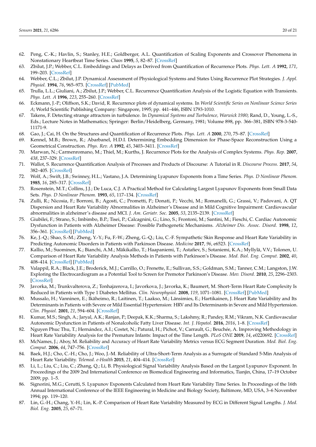- <span id="page-21-0"></span>62. Peng, C.-K.; Havlin, S.; Stanley, H.E.; Goldberger, A.L. Quantification of Scaling Exponents and Crossover Phenomena in Nonstationary Heartbeat Time Series. *Chaos* **1995**, *5*, 82–87. [\[CrossRef\]](http://doi.org/10.1063/1.166141)
- <span id="page-21-1"></span>63. Zbilut, J.P.; Webber, C.L. Embeddings and Delays as Derived from Quantification of Recurrence Plots. *Phys. Lett. A* **1992**, *171*, 199–203. [\[CrossRef\]](http://doi.org/10.1016/0375-9601(92)90426-M)
- <span id="page-21-8"></span>64. Webber, C.L.; Zbilut, J.P. Dynamical Assessment of Physiological Systems and States Using Recurrence Plot Strategies. *J. Appl. Physiol.* **1994**, *76*, 965–973. [\[CrossRef\]](http://doi.org/10.1152/jappl.1994.76.2.965) [\[PubMed\]](http://www.ncbi.nlm.nih.gov/pubmed/8175612)
- <span id="page-21-2"></span>65. Trulla, L.L.; Giuliani, A.; Zbilut, J.P.; Webber, C.L. Recurrence Quantification Analysis of the Logistic Equation with Transients. *Phys. Lett. A* **1996**, *223*, 255–260. [\[CrossRef\]](http://doi.org/10.1016/S0375-9601(96)00741-4)
- <span id="page-21-3"></span>66. Eckmann, J.-P.; Oliffson, S.K.; David, R. Recurrence plots of dynamical systems. In *World Scientific Series on Nonlinear Science Series A*; World Scientific Publishing Company: Singapore, 1995; pp. 441–446, ISBN 1793-1010.
- <span id="page-21-4"></span>67. Takens, F. Detecting strange attractors in turbulence. In *Dynamical Systems and Turbulence, Warwick 1980*; Rand, D., Young, L.-S., Eds.; Lecture Notes in Mathematics; Springer: Berlin/Heidelberg, Germany, 1981; Volume 898, pp. 366–381, ISBN 978-3-540- 11171-9.
- <span id="page-21-5"></span>68. Gao, J.; Cai, H. On the Structures and Quantification of Recurrence Plots. *Phys. Lett. A* **2000**, *270*, 75–87. [\[CrossRef\]](http://doi.org/10.1016/S0375-9601(00)00304-2)
- <span id="page-21-6"></span>69. Kennel, M.B.; Brown, R.; Abarbanel, H.D.I. Determining Embedding Dimension for Phase-Space Reconstruction Using a Geometrical Construction. *Phys. Rev. A* **1992**, *45*, 3403–3411. [\[CrossRef\]](http://doi.org/10.1103/PhysRevA.45.3403)
- <span id="page-21-7"></span>70. Marwan, N.; Carmenromano, M.; Thiel, M.; Kurths, J. Recurrence Plots for the Analysis of Complex Systems. *Phys. Rep.* **2007**, *438*, 237–329. [\[CrossRef\]](http://doi.org/10.1016/j.physrep.2006.11.001)
- <span id="page-21-9"></span>71. Wallot, S. Recurrence Quantification Analysis of Processes and Products of Discourse: A Tutorial in R. *Discourse Process.* **2017**, *54*, 382–405. [\[CrossRef\]](http://doi.org/10.1080/0163853X.2017.1297921)
- <span id="page-21-10"></span>72. Wolf, A.; Swift, J.B.; Swinney, H.L.; Vastano, J.A. Determining Lyapunov Exponents from a Time Series. *Phys. D Nonlinear Phenom.* **1985**, *16*, 285–317. [\[CrossRef\]](http://doi.org/10.1016/0167-2789(85)90011-9)
- <span id="page-21-11"></span>73. Rosenstein, M.T.; Collins, J.J.; De Luca, C.J. A Practical Method for Calculating Largest Lyapunov Exponents from Small Data Sets. *Phys. D Nonlinear Phenom.* **1993**, *65*, 117–134. [\[CrossRef\]](http://doi.org/10.1016/0167-2789(93)90009-P)
- <span id="page-21-12"></span>74. Zulli, R.; Nicosia, F.; Borroni, B.; Agosti, C.; Prometti, P.; Donati, P.; Vecchi, M.; Romanelli, G.; Grassi, V.; Padovani, A. QT Dispersion and Heart Rate Variability Abnormalities in Alzheimer's Disease and in Mild Cognitive Impairment: Cardiovascular abnormalities in alzheimer's disease and MCI. *J. Am. Geriatr. Soc.* **2005**, *53*, 2135–2139. [\[CrossRef\]](http://doi.org/10.1111/j.1532-5415.2005.00508.x)
- <span id="page-21-18"></span>75. Giubilei, F.; Strano, S.; Imbimbo, B.P.; Tisei, P.; Calcagnini, G.; Lino, S.; Frontoni, M.; Santini, M.; Fieschi, C. Cardiac Autonomic Dysfunction in Patients with Alzheimer Disease: Possible Pathogenetic Mechanisms. *Alzheimer Dis. Assoc. Disord.* **1998**, *12*, 356–361. [\[CrossRef\]](http://doi.org/10.1097/00002093-199812000-00017) [\[PubMed\]](http://www.ncbi.nlm.nih.gov/pubmed/9876965)
- <span id="page-21-21"></span>76. Ke, J.-Q.; Shao, S.-M.; Zheng, Y.-Y.; Fu, F.-W.; Zheng, G.-Q.; Liu, C.-F. Sympathetic Skin Response and Heart Rate Variability in Predicting Autonomic Disorders in Patients with Parkinson Disease. *Medicine* **2017**, *96*, e6523. [\[CrossRef\]](http://doi.org/10.1097/MD.0000000000006523)
- <span id="page-21-13"></span>77. Kallio, M.; Suominen, K.; Bianchi, A.M.; Mäkikallio, T.; Haapaniemi, T.; Astafiev, S.; Sotaniemi, K.A.; Myllylä, V.V.; Tolonen, U. Comparison of Heart Rate Variability Analysis Methods in Patients with Parkinson's Disease. *Med. Biol. Eng. Comput.* **2002**, *40*, 408–414. [\[CrossRef\]](http://doi.org/10.1007/BF02345073) [\[PubMed\]](http://www.ncbi.nlm.nih.gov/pubmed/12227627)
- <span id="page-21-14"></span>78. Valappil, R.A.; Black, J.E.; Broderick, M.J.; Carrillo, O.; Frenette, E.; Sullivan, S.S.; Goldman, S.M.; Tanner, C.M.; Langston, J.W. Exploring the Electrocardiogram as a Potential Tool to Screen for Premotor Parkinson's Disease. *Mov. Disord.* **2010**, *25*, 2296–2303. [\[CrossRef\]](http://doi.org/10.1002/mds.23348)
- <span id="page-21-15"></span>79. Javorka, M.; Trunkvalterova, Z.; Tonhajzerova, I.; Javorkova, J.; Javorka, K.; Baumert, M. Short-Term Heart Rate Complexity Is Reduced in Patients with Type 1 Diabetes Mellitus. *Clin. Neurophysiol.* **2008**, *119*, 1071–1081. [\[CrossRef\]](http://doi.org/10.1016/j.clinph.2007.12.017) [\[PubMed\]](http://www.ncbi.nlm.nih.gov/pubmed/18308624)
- <span id="page-21-16"></span>80. Mussalo, H.; Vanninen, E.; Ikäheimo, R.; Laitinen, T.; Laakso, M.; Länsimies, E.; Hartikainen, J. Heart Rate Variability and Its Determinants in Patients with Severe or Mild Essential Hypertension: HRV and Its Determinants in Severe and Mild Hypertension. *Clin. Physiol.* **2001**, *21*, 594–604. [\[CrossRef\]](http://doi.org/10.1046/j.1365-2281.2001.00359.x)
- <span id="page-21-17"></span>81. Kumar, M.S.; Singh, A.; Jaryal, A.K.; Ranjan, P.; Deepak, K.K.; Sharma, S.; Lakshmy, R.; Pandey, R.M.; Vikram, N.K. Cardiovascular Autonomic Dysfunction in Patients of Nonalcoholic Fatty Liver Disease. *Int. J. Hepatol.* **2016**, *2016*, 1–8. [\[CrossRef\]](http://doi.org/10.1155/2016/5160754)
- <span id="page-21-19"></span>82. Nguyen Phuc Thu, T.; Hernández, A.I.; Costet, N.; Patural, H.; Pichot, V.; Carrault, G.; Beuchée, A. Improving Methodology in
- <span id="page-21-24"></span>Heart Rate Variability Analysis for the Premature Infants: Impact of the Time Length. *PLoS ONE* **2019**, *14*, e0220692. [\[CrossRef\]](http://doi.org/10.1371/journal.pone.0220692) 83. McNames, J.; Aboy, M. Reliability and Accuracy of Heart Rate Variability Metrics versus ECG Segment Duration. *Med. Biol. Eng. Comput.* **2006**, *44*, 747–756. [\[CrossRef\]](http://doi.org/10.1007/s11517-006-0097-2)
- <span id="page-21-25"></span>84. Baek, H.J.; Cho, C.-H.; Cho, J.; Woo, J.-M. Reliability of Ultra-Short-Term Analysis as a Surrogate of Standard 5-Min Analysis of Heart Rate Variability. *Telemed. e-Health* **2015**, *21*, 404–414. [\[CrossRef\]](http://doi.org/10.1089/tmj.2014.0104)
- <span id="page-21-20"></span>85. Li, L.; Liu, C.; Liu, C.; Zhang, Q.; Li, B. Physiological Signal Variability Analysis Based on the Largest Lyapunov Exponent. In Proceedings of the 2009 2nd International Conference on Biomedical Engineering and Informatics, Tianjin, China, 17–19 October 2009; pp. 1–5.
- <span id="page-21-22"></span>86. Signorini, M.G.; Cerutti, S. Lyapunov Exponents Calculated from Heart Rate Variability Time Series. In Proceedings of the 16th Annual International Conference of the IEEE Engineering in Medicine and Biology Society, Baltimore, MD, USA, 3–6 November 1994; pp. 119–120.
- <span id="page-21-23"></span>87. Lin, G.-H.; Chang, Y.-H.; Lin, K.-P. Comparison of Heart Rate Variability Measured by ECG in Different Signal Lengths. *J. Med. Biol. Eng.* **2005**, *25*, 67–71.